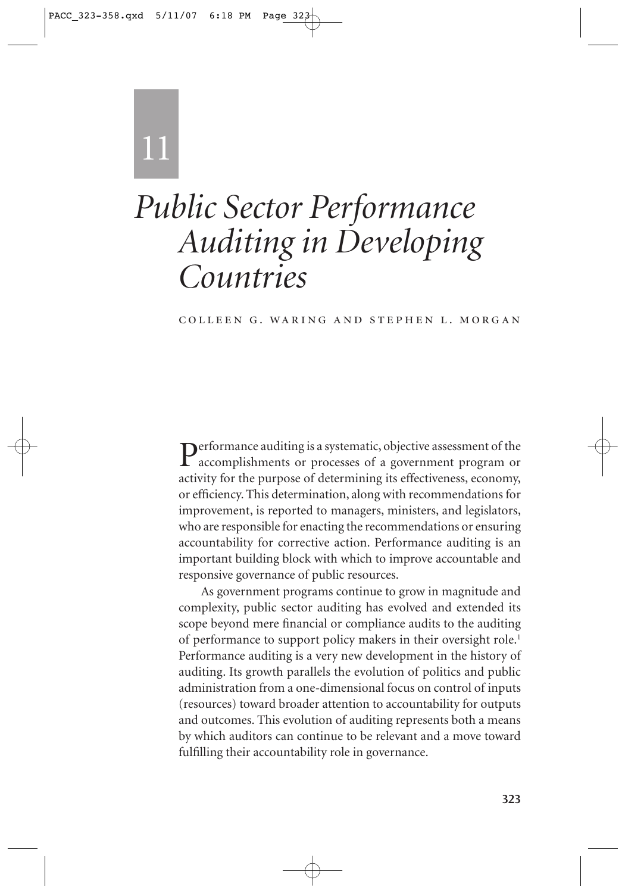# 11

# *Public Sector Performance Auditing in Developing Countries*

colleen g. waring and stephen l. morgan

Performance auditing is a systematic, objective assessment of the accomplishments or processes of a government program or activity for the purpose of determining its effectiveness, economy, or efficiency. This determination, along with recommendations for improvement, is reported to managers, ministers, and legislators, who are responsible for enacting the recommendations or ensuring accountability for corrective action. Performance auditing is an important building block with which to improve accountable and responsive governance of public resources.

As government programs continue to grow in magnitude and complexity, public sector auditing has evolved and extended its scope beyond mere financial or compliance audits to the auditing of performance to support policy makers in their oversight role.<sup>1</sup> Performance auditing is a very new development in the history of auditing. Its growth parallels the evolution of politics and public administration from a one-dimensional focus on control of inputs (resources) toward broader attention to accountability for outputs and outcomes. This evolution of auditing represents both a means by which auditors can continue to be relevant and a move toward fulfilling their accountability role in governance.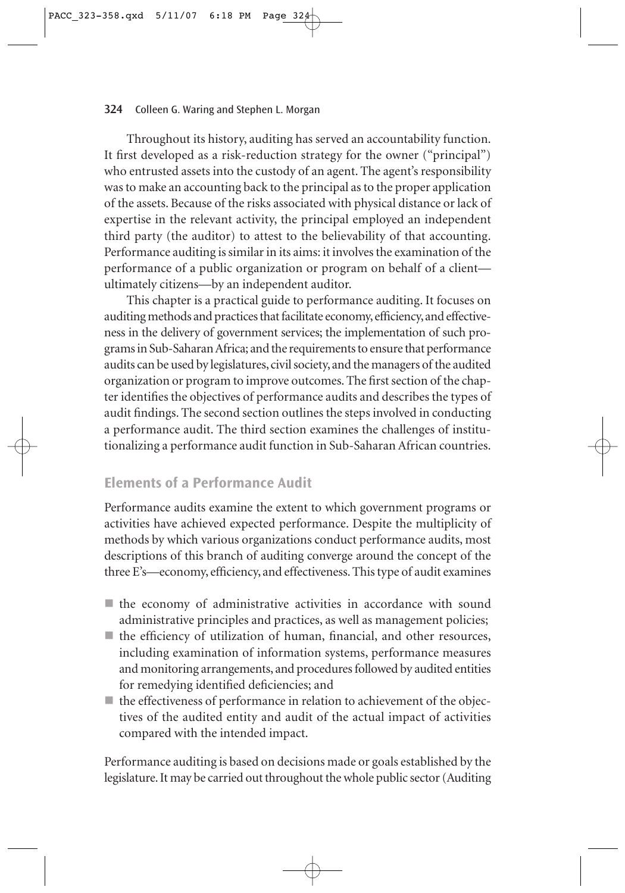Throughout its history, auditing has served an accountability function. It first developed as a risk-reduction strategy for the owner ("principal") who entrusted assets into the custody of an agent. The agent's responsibility was to make an accounting back to the principal as to the proper application of the assets. Because of the risks associated with physical distance or lack of expertise in the relevant activity, the principal employed an independent third party (the auditor) to attest to the believability of that accounting. Performance auditing is similar in its aims: it involves the examination of the performance of a public organization or program on behalf of a client ultimately citizens—by an independent auditor.

This chapter is a practical guide to performance auditing. It focuses on auditing methods and practices that facilitate economy,efficiency,and effectiveness in the delivery of government services; the implementation of such programs in Sub-Saharan Africa; and the requirements to ensure that performance audits can be used by legislatures, civil society, and the managers of the audited organization or program to improve outcomes. The first section of the chapter identifies the objectives of performance audits and describes the types of audit findings. The second section outlines the steps involved in conducting a performance audit. The third section examines the challenges of institutionalizing a performance audit function in Sub-Saharan African countries.

# **Elements of a Performance Audit**

Performance audits examine the extent to which government programs or activities have achieved expected performance. Despite the multiplicity of methods by which various organizations conduct performance audits, most descriptions of this branch of auditing converge around the concept of the three E's—economy, efficiency, and effectiveness. This type of audit examines

- $\blacksquare$  the economy of administrative activities in accordance with sound administrative principles and practices, as well as management policies;
- the efficiency of utilization of human, financial, and other resources, including examination of information systems, performance measures and monitoring arrangements, and procedures followed by audited entities for remedying identified deficiencies; and
- $\blacksquare$  the effectiveness of performance in relation to achievement of the objectives of the audited entity and audit of the actual impact of activities compared with the intended impact.

Performance auditing is based on decisions made or goals established by the legislature. It may be carried out throughout the whole public sector (Auditing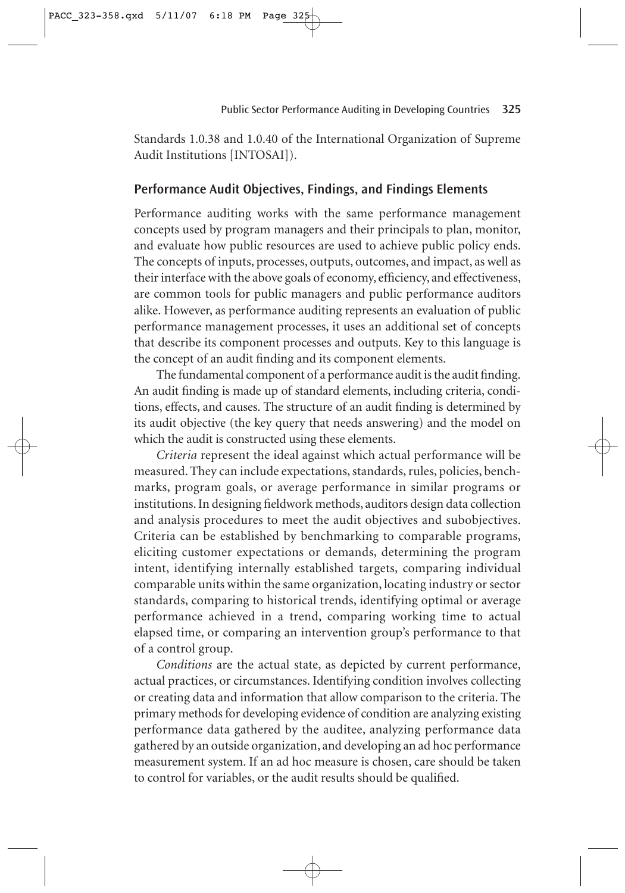Standards 1.0.38 and 1.0.40 of the International Organization of Supreme Audit Institutions [INTOSAI]).

# **Performance Audit Objectives, Findings, and Findings Elements**

Performance auditing works with the same performance management concepts used by program managers and their principals to plan, monitor, and evaluate how public resources are used to achieve public policy ends. The concepts of inputs, processes, outputs, outcomes, and impact, as well as their interface with the above goals of economy, efficiency, and effectiveness, are common tools for public managers and public performance auditors alike. However, as performance auditing represents an evaluation of public performance management processes, it uses an additional set of concepts that describe its component processes and outputs. Key to this language is the concept of an audit finding and its component elements.

The fundamental component of a performance audit is the audit finding. An audit finding is made up of standard elements, including criteria, conditions, effects, and causes. The structure of an audit finding is determined by its audit objective (the key query that needs answering) and the model on which the audit is constructed using these elements.

*Criteria* represent the ideal against which actual performance will be measured. They can include expectations, standards, rules, policies, benchmarks, program goals, or average performance in similar programs or institutions. In designing fieldwork methods, auditors design data collection and analysis procedures to meet the audit objectives and subobjectives. Criteria can be established by benchmarking to comparable programs, eliciting customer expectations or demands, determining the program intent, identifying internally established targets, comparing individual comparable units within the same organization, locating industry or sector standards, comparing to historical trends, identifying optimal or average performance achieved in a trend, comparing working time to actual elapsed time, or comparing an intervention group's performance to that of a control group.

*Conditions* are the actual state, as depicted by current performance, actual practices, or circumstances. Identifying condition involves collecting or creating data and information that allow comparison to the criteria. The primary methods for developing evidence of condition are analyzing existing performance data gathered by the auditee, analyzing performance data gathered by an outside organization, and developing an ad hoc performance measurement system. If an ad hoc measure is chosen, care should be taken to control for variables, or the audit results should be qualified.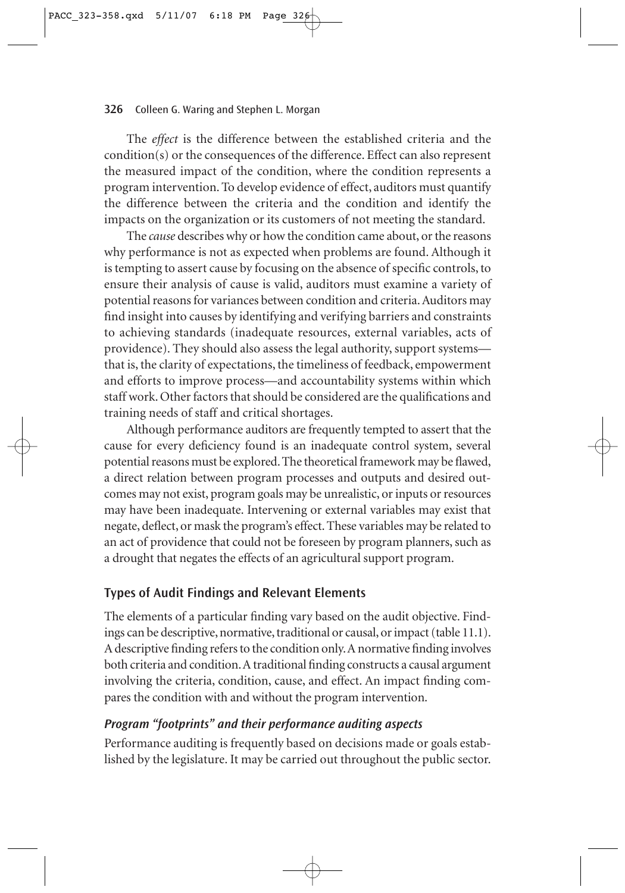The *effect* is the difference between the established criteria and the condition(s) or the consequences of the difference. Effect can also represent the measured impact of the condition, where the condition represents a program intervention. To develop evidence of effect, auditors must quantify the difference between the criteria and the condition and identify the impacts on the organization or its customers of not meeting the standard.

The *cause* describes why or how the condition came about, or the reasons why performance is not as expected when problems are found. Although it is tempting to assert cause by focusing on the absence of specific controls, to ensure their analysis of cause is valid, auditors must examine a variety of potential reasons for variances between condition and criteria. Auditors may find insight into causes by identifying and verifying barriers and constraints to achieving standards (inadequate resources, external variables, acts of providence). They should also assess the legal authority, support systems that is, the clarity of expectations, the timeliness of feedback, empowerment and efforts to improve process—and accountability systems within which staff work. Other factors that should be considered are the qualifications and training needs of staff and critical shortages.

Although performance auditors are frequently tempted to assert that the cause for every deficiency found is an inadequate control system, several potential reasons must be explored. The theoretical framework may be flawed, a direct relation between program processes and outputs and desired outcomes may not exist, program goals may be unrealistic, or inputs or resources may have been inadequate. Intervening or external variables may exist that negate, deflect, or mask the program's effect. These variables may be related to an act of providence that could not be foreseen by program planners, such as a drought that negates the effects of an agricultural support program.

# **Types of Audit Findings and Relevant Elements**

The elements of a particular finding vary based on the audit objective. Findings can be descriptive, normative, traditional or causal, or impact (table 11.1). A descriptive finding refers to the condition only.A normative finding involves both criteria and condition.A traditional finding constructs a causal argument involving the criteria, condition, cause, and effect. An impact finding compares the condition with and without the program intervention.

# *Program "footprints" and their performance auditing aspects*

Performance auditing is frequently based on decisions made or goals established by the legislature. It may be carried out throughout the public sector.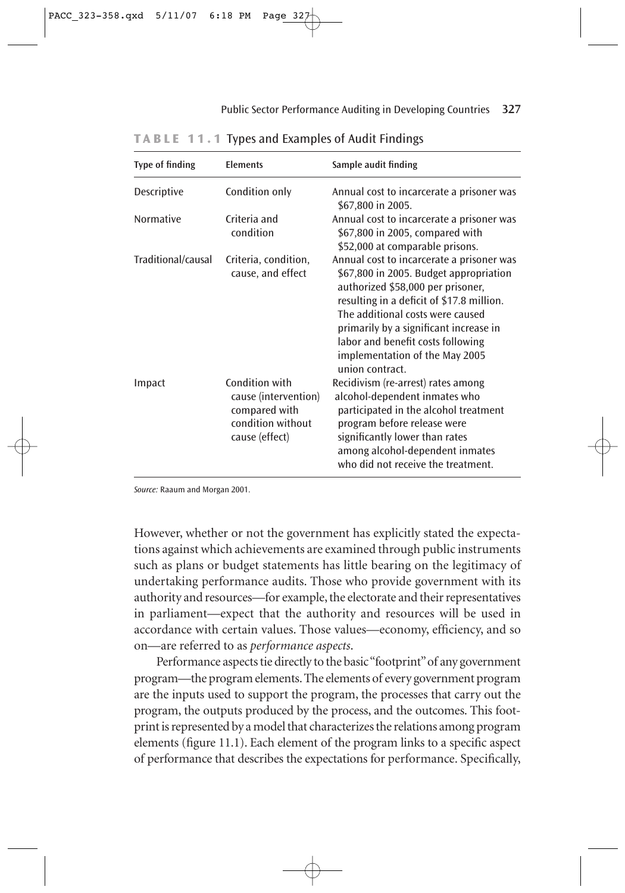| <b>Type of finding</b> | <b>Elements</b>                                                                                | Sample audit finding                                                                                                                                                                                                                                                                                                                          |
|------------------------|------------------------------------------------------------------------------------------------|-----------------------------------------------------------------------------------------------------------------------------------------------------------------------------------------------------------------------------------------------------------------------------------------------------------------------------------------------|
| <b>Descriptive</b>     | Condition only                                                                                 | Annual cost to incarcerate a prisoner was<br>\$67,800 in 2005.                                                                                                                                                                                                                                                                                |
| <b>Normative</b>       | Criteria and<br>condition                                                                      | Annual cost to incarcerate a prisoner was<br>\$67,800 in 2005, compared with<br>\$52,000 at comparable prisons.                                                                                                                                                                                                                               |
| Traditional/causal     | Criteria, condition,<br>cause, and effect                                                      | Annual cost to incarcerate a prisoner was<br>\$67,800 in 2005. Budget appropriation<br>authorized \$58,000 per prisoner,<br>resulting in a deficit of \$17.8 million.<br>The additional costs were caused<br>primarily by a significant increase in<br>labor and benefit costs following<br>implementation of the May 2005<br>union contract. |
| Impact                 | Condition with<br>cause (intervention)<br>compared with<br>condition without<br>cause (effect) | Recidivism (re-arrest) rates among<br>alcohol-dependent inmates who<br>participated in the alcohol treatment<br>program before release were<br>significantly lower than rates<br>among alcohol-dependent inmates<br>who did not receive the treatment.                                                                                        |

**TABLE 11.1** Types and Examples of Audit Findings

*Source:* Raaum and Morgan 2001.

However, whether or not the government has explicitly stated the expectations against which achievements are examined through public instruments such as plans or budget statements has little bearing on the legitimacy of undertaking performance audits. Those who provide government with its authority and resources—for example, the electorate and their representatives in parliament—expect that the authority and resources will be used in accordance with certain values. Those values—economy, efficiency, and so on—are referred to as *performance aspects*.

Performance aspects tie directly to the basic "footprint" of any government program—the program elements.The elements of every government program are the inputs used to support the program, the processes that carry out the program, the outputs produced by the process, and the outcomes. This footprint is represented by a model that characterizes the relations among program elements (figure 11.1). Each element of the program links to a specific aspect of performance that describes the expectations for performance. Specifically,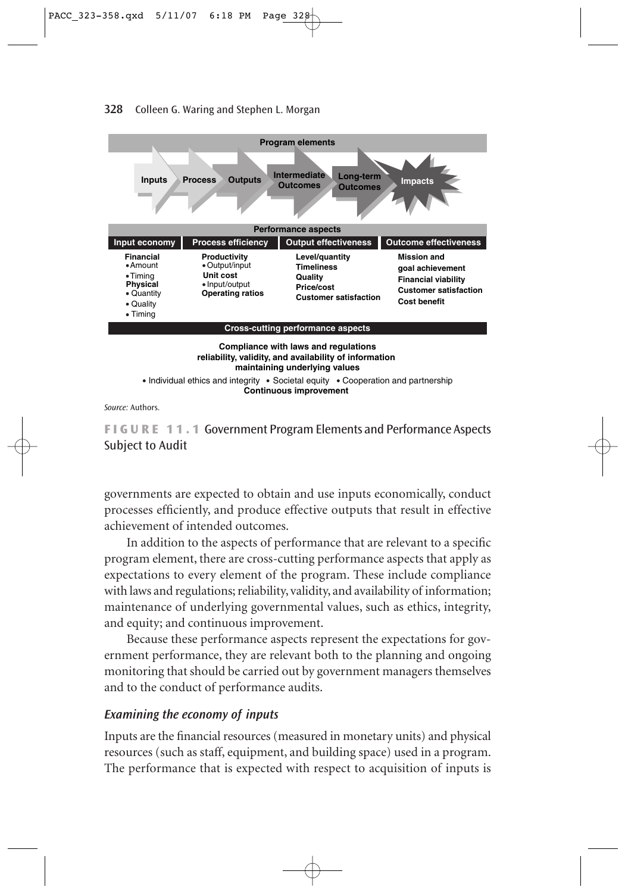

**Compliance with laws and regulations reliability, validity, and availability of information maintaining underlying values**

**Continuous improvement**  • Individual ethics and integrity • Societal equity • Cooperation and partnership

#### *Source:* Authors.

**FIGURE 11.1** Government Program Elements and Performance Aspects Subject to Audit

governments are expected to obtain and use inputs economically, conduct processes efficiently, and produce effective outputs that result in effective achievement of intended outcomes.

In addition to the aspects of performance that are relevant to a specific program element, there are cross-cutting performance aspects that apply as expectations to every element of the program. These include compliance with laws and regulations; reliability, validity, and availability of information; maintenance of underlying governmental values, such as ethics, integrity, and equity; and continuous improvement.

Because these performance aspects represent the expectations for government performance, they are relevant both to the planning and ongoing monitoring that should be carried out by government managers themselves and to the conduct of performance audits.

# *Examining the economy of inputs*

Inputs are the financial resources (measured in monetary units) and physical resources (such as staff, equipment, and building space) used in a program. The performance that is expected with respect to acquisition of inputs is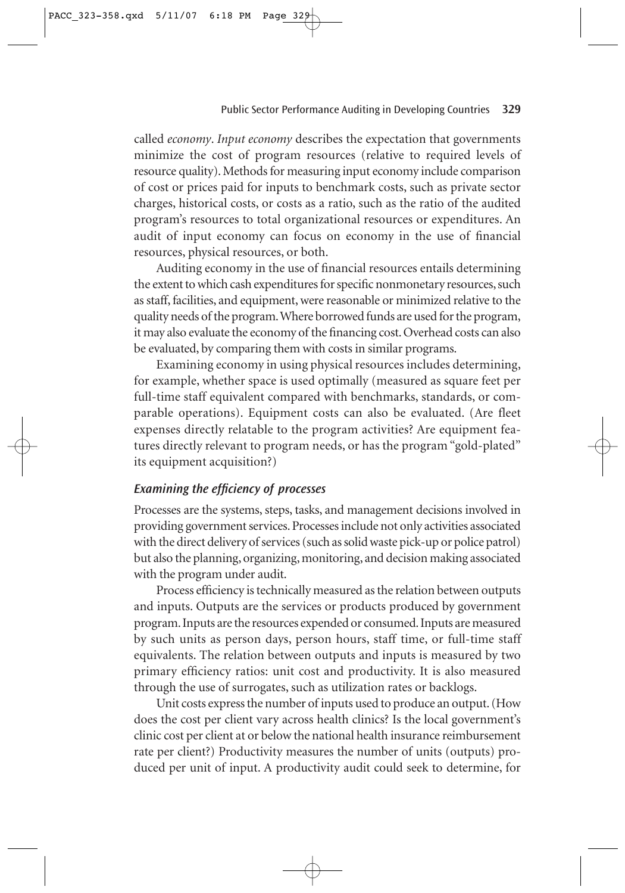called *economy*. *Input economy* describes the expectation that governments minimize the cost of program resources (relative to required levels of resource quality). Methods for measuring input economy include comparison of cost or prices paid for inputs to benchmark costs, such as private sector charges, historical costs, or costs as a ratio, such as the ratio of the audited program's resources to total organizational resources or expenditures. An audit of input economy can focus on economy in the use of financial resources, physical resources, or both.

Auditing economy in the use of financial resources entails determining the extent to which cash expenditures for specific nonmonetary resources, such as staff, facilities, and equipment, were reasonable or minimized relative to the quality needs of the program.Where borrowed funds are used for the program, it may also evaluate the economy of the financing cost. Overhead costs can also be evaluated, by comparing them with costs in similar programs.

Examining economy in using physical resources includes determining, for example, whether space is used optimally (measured as square feet per full-time staff equivalent compared with benchmarks, standards, or comparable operations). Equipment costs can also be evaluated. (Are fleet expenses directly relatable to the program activities? Are equipment features directly relevant to program needs, or has the program "gold-plated" its equipment acquisition?)

# *Examining the efficiency of processes*

Processes are the systems, steps, tasks, and management decisions involved in providing government services. Processes include not only activities associated with the direct delivery of services (such as solid waste pick-up or police patrol) but also the planning, organizing, monitoring, and decision making associated with the program under audit.

Process efficiency is technically measured as the relation between outputs and inputs. Outputs are the services or products produced by government program.Inputs are the resources expended or consumed.Inputs are measured by such units as person days, person hours, staff time, or full-time staff equivalents. The relation between outputs and inputs is measured by two primary efficiency ratios: unit cost and productivity. It is also measured through the use of surrogates, such as utilization rates or backlogs.

Unit costs express the number of inputs used to produce an output. (How does the cost per client vary across health clinics? Is the local government's clinic cost per client at or below the national health insurance reimbursement rate per client?) Productivity measures the number of units (outputs) produced per unit of input. A productivity audit could seek to determine, for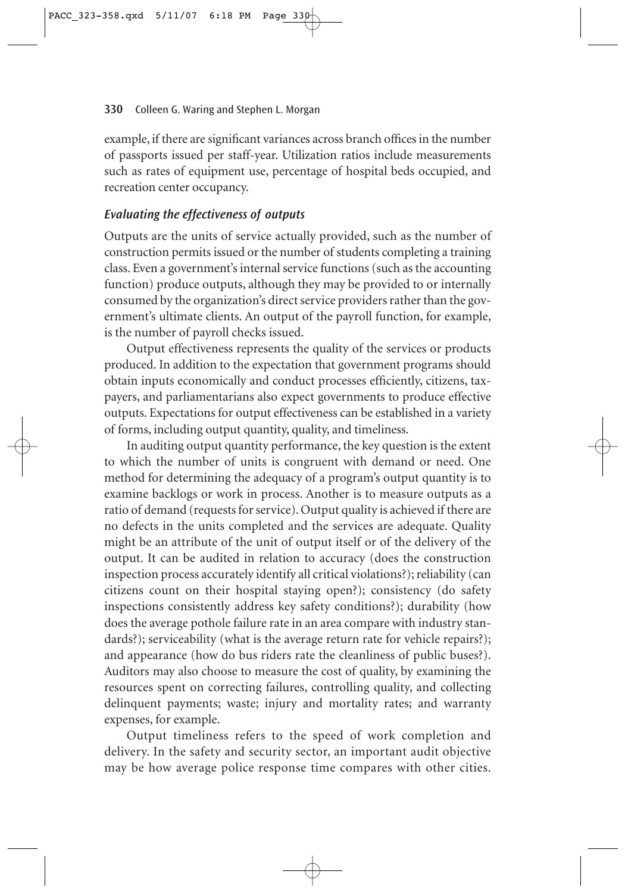example, if there are significant variances across branch offices in the number of passports issued per staff-year. Utilization ratios include measurements such as rates of equipment use, percentage of hospital beds occupied, and recreation center occupancy.

# *Evaluating the effectiveness of outputs*

Outputs are the units of service actually provided, such as the number of construction permits issued or the number of students completing a training class. Even a government's internal service functions (such as the accounting function) produce outputs, although they may be provided to or internally consumed by the organization's direct service providers rather than the government's ultimate clients. An output of the payroll function, for example, is the number of payroll checks issued.

Output effectiveness represents the quality of the services or products produced. In addition to the expectation that government programs should obtain inputs economically and conduct processes efficiently, citizens, taxpayers, and parliamentarians also expect governments to produce effective outputs. Expectations for output effectiveness can be established in a variety of forms, including output quantity, quality, and timeliness.

In auditing output quantity performance, the key question is the extent to which the number of units is congruent with demand or need. One method for determining the adequacy of a program's output quantity is to examine backlogs or work in process. Another is to measure outputs as a ratio of demand (requests for service). Output quality is achieved if there are no defects in the units completed and the services are adequate. Quality might be an attribute of the unit of output itself or of the delivery of the output. It can be audited in relation to accuracy (does the construction inspection process accurately identify all critical violations?); reliability (can citizens count on their hospital staying open?); consistency (do safety inspections consistently address key safety conditions?); durability (how does the average pothole failure rate in an area compare with industry standards?); serviceability (what is the average return rate for vehicle repairs?); and appearance (how do bus riders rate the cleanliness of public buses?). Auditors may also choose to measure the cost of quality, by examining the resources spent on correcting failures, controlling quality, and collecting delinquent payments; waste; injury and mortality rates; and warranty expenses, for example.

Output timeliness refers to the speed of work completion and delivery. In the safety and security sector, an important audit objective may be how average police response time compares with other cities.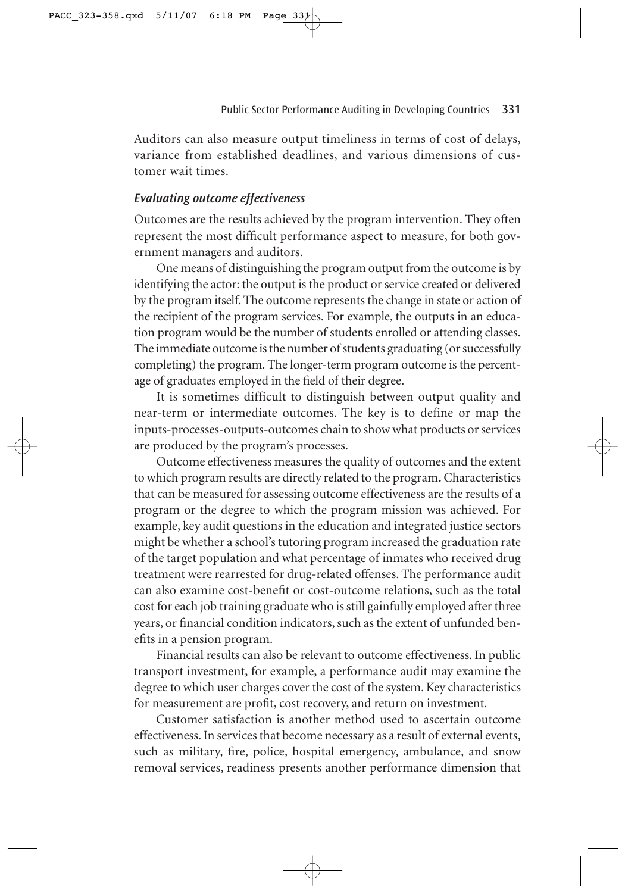Auditors can also measure output timeliness in terms of cost of delays, variance from established deadlines, and various dimensions of customer wait times.

# *Evaluating outcome effectiveness*

Outcomes are the results achieved by the program intervention. They often represent the most difficult performance aspect to measure, for both government managers and auditors.

One means of distinguishing the program output from the outcome is by identifying the actor: the output is the product or service created or delivered by the program itself. The outcome represents the change in state or action of the recipient of the program services. For example, the outputs in an education program would be the number of students enrolled or attending classes. The immediate outcome is the number of students graduating (or successfully completing) the program. The longer-term program outcome is the percentage of graduates employed in the field of their degree.

It is sometimes difficult to distinguish between output quality and near-term or intermediate outcomes. The key is to define or map the inputs-processes-outputs-outcomes chain to show what products or services are produced by the program's processes.

Outcome effectiveness measures the quality of outcomes and the extent to which program results are directly related to the program**.** Characteristics that can be measured for assessing outcome effectiveness are the results of a program or the degree to which the program mission was achieved. For example, key audit questions in the education and integrated justice sectors might be whether a school's tutoring program increased the graduation rate of the target population and what percentage of inmates who received drug treatment were rearrested for drug-related offenses. The performance audit can also examine cost-benefit or cost-outcome relations, such as the total cost for each job training graduate who is still gainfully employed after three years, or financial condition indicators, such as the extent of unfunded benefits in a pension program.

Financial results can also be relevant to outcome effectiveness. In public transport investment, for example, a performance audit may examine the degree to which user charges cover the cost of the system. Key characteristics for measurement are profit, cost recovery, and return on investment.

Customer satisfaction is another method used to ascertain outcome effectiveness. In services that become necessary as a result of external events, such as military, fire, police, hospital emergency, ambulance, and snow removal services, readiness presents another performance dimension that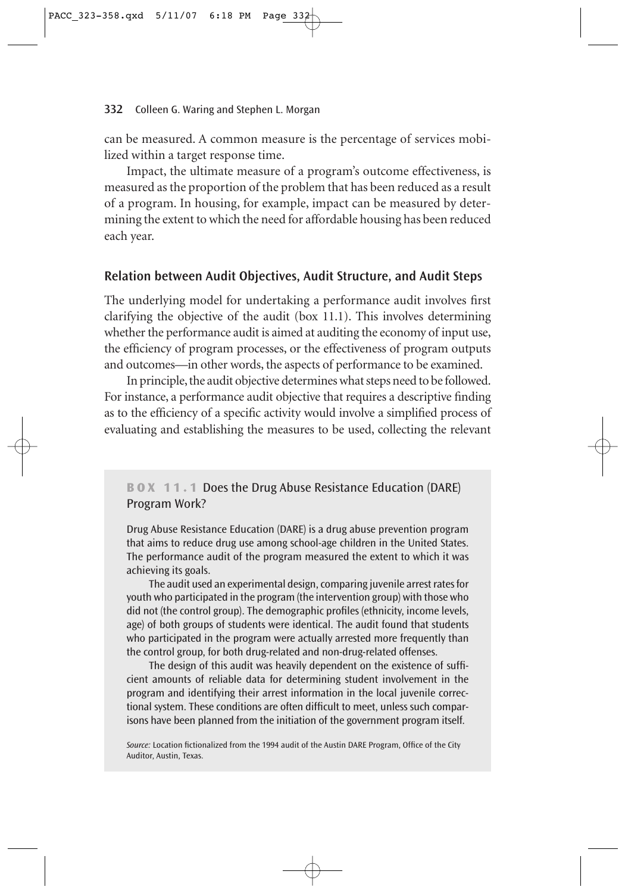can be measured. A common measure is the percentage of services mobilized within a target response time.

Impact, the ultimate measure of a program's outcome effectiveness, is measured as the proportion of the problem that has been reduced as a result of a program. In housing, for example, impact can be measured by determining the extent to which the need for affordable housing has been reduced each year.

# **Relation between Audit Objectives, Audit Structure, and Audit Steps**

The underlying model for undertaking a performance audit involves first clarifying the objective of the audit (box 11.1). This involves determining whether the performance audit is aimed at auditing the economy of input use, the efficiency of program processes, or the effectiveness of program outputs and outcomes—in other words, the aspects of performance to be examined.

In principle, the audit objective determines what steps need to be followed. For instance, a performance audit objective that requires a descriptive finding as to the efficiency of a specific activity would involve a simplified process of evaluating and establishing the measures to be used, collecting the relevant

# **BOX 11.1** Does the Drug Abuse Resistance Education (DARE) Program Work?

Drug Abuse Resistance Education (DARE) is a drug abuse prevention program that aims to reduce drug use among school-age children in the United States. The performance audit of the program measured the extent to which it was achieving its goals.

The audit used an experimental design, comparing juvenile arrest rates for youth who participated in the program (the intervention group) with those who did not (the control group). The demographic profiles (ethnicity, income levels, age) of both groups of students were identical. The audit found that students who participated in the program were actually arrested more frequently than the control group, for both drug-related and non-drug-related offenses.

The design of this audit was heavily dependent on the existence of sufficient amounts of reliable data for determining student involvement in the program and identifying their arrest information in the local juvenile correctional system. These conditions are often difficult to meet, unless such comparisons have been planned from the initiation of the government program itself.

*Source:* Location fictionalized from the 1994 audit of the Austin DARE Program, Office of the City Auditor, Austin, Texas.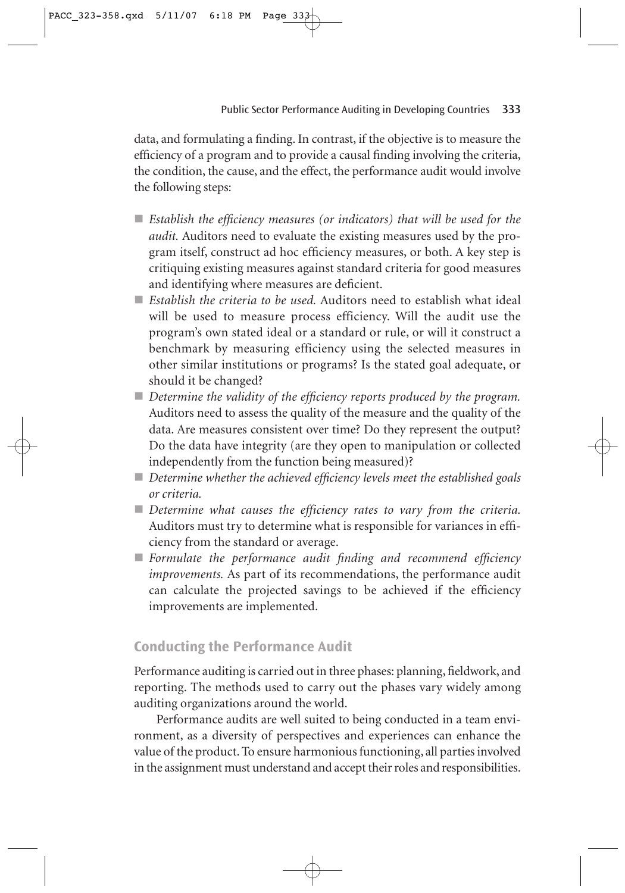data, and formulating a finding. In contrast, if the objective is to measure the efficiency of a program and to provide a causal finding involving the criteria, the condition, the cause, and the effect, the performance audit would involve the following steps:

- *Establish the efficiency measures (or indicators) that will be used for the audit.* Auditors need to evaluate the existing measures used by the program itself, construct ad hoc efficiency measures, or both. A key step is critiquing existing measures against standard criteria for good measures and identifying where measures are deficient.
- Establish the criteria to be used. Auditors need to establish what ideal will be used to measure process efficiency. Will the audit use the program's own stated ideal or a standard or rule, or will it construct a benchmark by measuring efficiency using the selected measures in other similar institutions or programs? Is the stated goal adequate, or should it be changed?
- $\blacksquare$  Determine the validity of the efficiency reports produced by the program. Auditors need to assess the quality of the measure and the quality of the data. Are measures consistent over time? Do they represent the output? Do the data have integrity (are they open to manipulation or collected independently from the function being measured)?
- Determine whether the achieved efficiency levels meet the established goals *or criteria.*
- $\blacksquare$  Determine what causes the efficiency rates to vary from the criteria. Auditors must try to determine what is responsible for variances in efficiency from the standard or average.
- Formulate the performance audit finding and recommend efficiency *improvements.* As part of its recommendations, the performance audit can calculate the projected savings to be achieved if the efficiency improvements are implemented.

# **Conducting the Performance Audit**

Performance auditing is carried out in three phases: planning, fieldwork, and reporting. The methods used to carry out the phases vary widely among auditing organizations around the world.

Performance audits are well suited to being conducted in a team environment, as a diversity of perspectives and experiences can enhance the value of the product. To ensure harmonious functioning, all parties involved in the assignment must understand and accept their roles and responsibilities.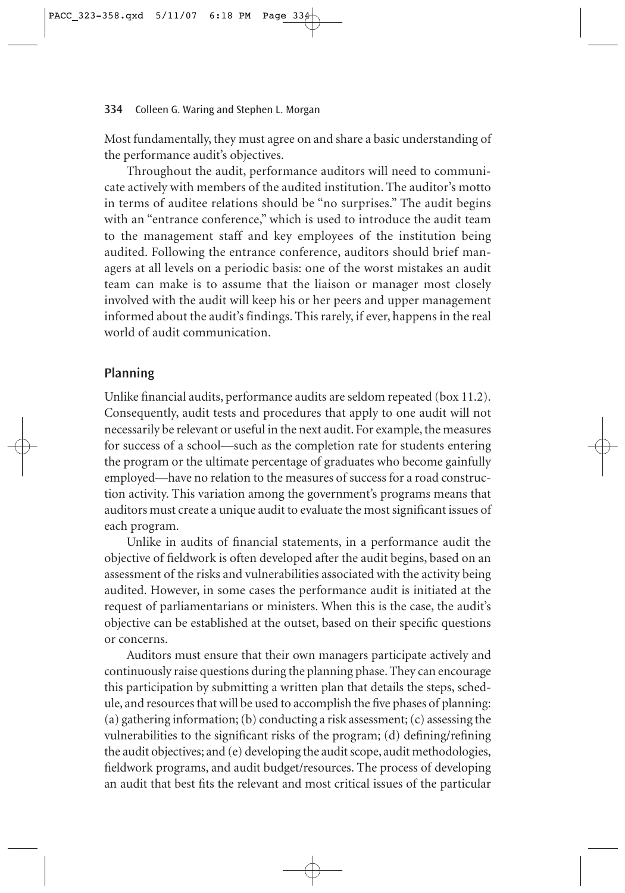Most fundamentally, they must agree on and share a basic understanding of the performance audit's objectives.

Throughout the audit, performance auditors will need to communicate actively with members of the audited institution. The auditor's motto in terms of auditee relations should be "no surprises." The audit begins with an "entrance conference," which is used to introduce the audit team to the management staff and key employees of the institution being audited. Following the entrance conference, auditors should brief managers at all levels on a periodic basis: one of the worst mistakes an audit team can make is to assume that the liaison or manager most closely involved with the audit will keep his or her peers and upper management informed about the audit's findings. This rarely, if ever, happens in the real world of audit communication.

# **Planning**

Unlike financial audits, performance audits are seldom repeated (box 11.2). Consequently, audit tests and procedures that apply to one audit will not necessarily be relevant or useful in the next audit. For example, the measures for success of a school—such as the completion rate for students entering the program or the ultimate percentage of graduates who become gainfully employed—have no relation to the measures of success for a road construction activity. This variation among the government's programs means that auditors must create a unique audit to evaluate the most significant issues of each program.

Unlike in audits of financial statements, in a performance audit the objective of fieldwork is often developed after the audit begins, based on an assessment of the risks and vulnerabilities associated with the activity being audited. However, in some cases the performance audit is initiated at the request of parliamentarians or ministers. When this is the case, the audit's objective can be established at the outset, based on their specific questions or concerns.

Auditors must ensure that their own managers participate actively and continuously raise questions during the planning phase. They can encourage this participation by submitting a written plan that details the steps, schedule, and resources that will be used to accomplish the five phases of planning: (a) gathering information; (b) conducting a risk assessment; (c) assessing the vulnerabilities to the significant risks of the program; (d) defining/refining the audit objectives; and (e) developing the audit scope, audit methodologies, fieldwork programs, and audit budget/resources. The process of developing an audit that best fits the relevant and most critical issues of the particular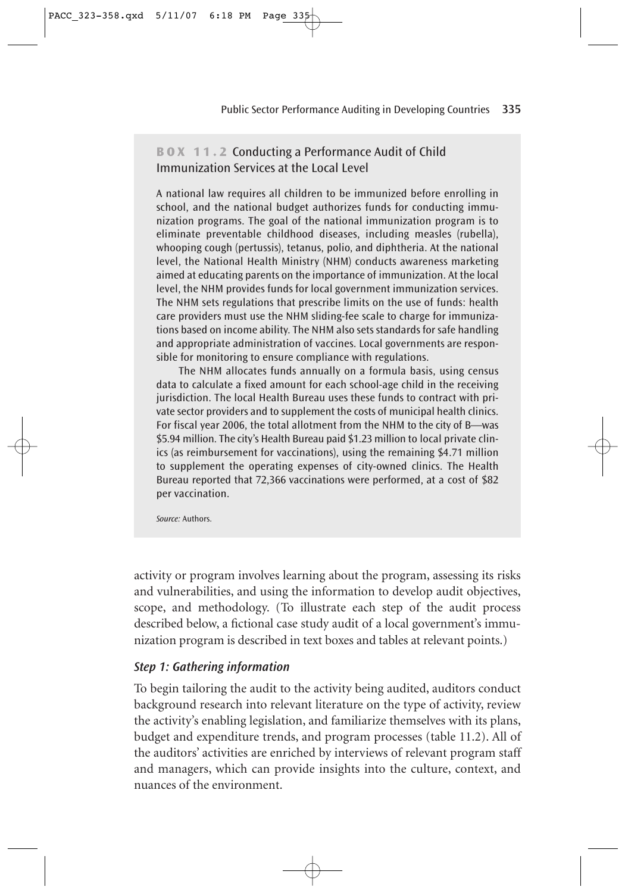# **BOX 11.2** Conducting a Performance Audit of Child Immunization Services at the Local Level

A national law requires all children to be immunized before enrolling in school, and the national budget authorizes funds for conducting immunization programs. The goal of the national immunization program is to eliminate preventable childhood diseases, including measles (rubella), whooping cough (pertussis), tetanus, polio, and diphtheria. At the national level, the National Health Ministry (NHM) conducts awareness marketing aimed at educating parents on the importance of immunization. At the local level, the NHM provides funds for local government immunization services. The NHM sets regulations that prescribe limits on the use of funds: health care providers must use the NHM sliding-fee scale to charge for immunizations based on income ability. The NHM also sets standards for safe handling and appropriate administration of vaccines. Local governments are responsible for monitoring to ensure compliance with regulations.

The NHM allocates funds annually on a formula basis, using census data to calculate a fixed amount for each school-age child in the receiving jurisdiction. The local Health Bureau uses these funds to contract with private sector providers and to supplement the costs of municipal health clinics. For fiscal year 2006, the total allotment from the NHM to the city of B—was \$5.94 million. The city's Health Bureau paid \$1.23 million to local private clinics (as reimbursement for vaccinations), using the remaining \$4.71 million to supplement the operating expenses of city-owned clinics. The Health Bureau reported that 72,366 vaccinations were performed, at a cost of \$82 per vaccination.

*Source:* Authors.

activity or program involves learning about the program, assessing its risks and vulnerabilities, and using the information to develop audit objectives, scope, and methodology. (To illustrate each step of the audit process described below, a fictional case study audit of a local government's immunization program is described in text boxes and tables at relevant points.)

# *Step 1: Gathering information*

To begin tailoring the audit to the activity being audited, auditors conduct background research into relevant literature on the type of activity, review the activity's enabling legislation, and familiarize themselves with its plans, budget and expenditure trends, and program processes (table 11.2). All of the auditors' activities are enriched by interviews of relevant program staff and managers, which can provide insights into the culture, context, and nuances of the environment.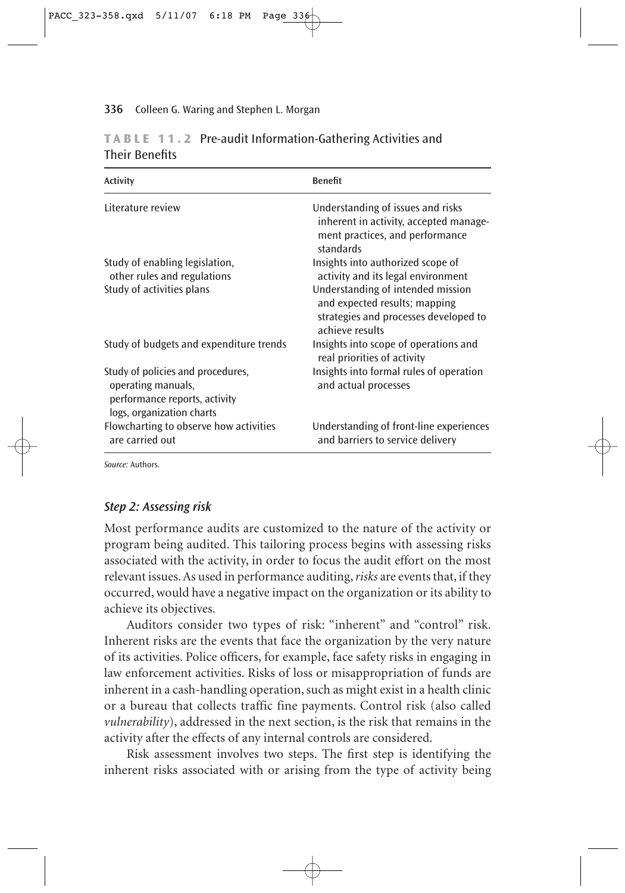# **TABLE 11.2** Pre-audit Information-Gathering Activities and Their Benefits

| <b>Activity</b>                                                                                                       | <b>Benefit</b>                                                                                                                 |
|-----------------------------------------------------------------------------------------------------------------------|--------------------------------------------------------------------------------------------------------------------------------|
| Literature review                                                                                                     | Understanding of issues and risks<br>inherent in activity, accepted manage-<br>ment practices, and performance<br>standards    |
| Study of enabling legislation,<br>other rules and regulations                                                         | Insights into authorized scope of<br>activity and its legal environment                                                        |
| Study of activities plans                                                                                             | Understanding of intended mission<br>and expected results; mapping<br>strategies and processes developed to<br>achieve results |
| Study of budgets and expenditure trends                                                                               | Insights into scope of operations and<br>real priorities of activity                                                           |
| Study of policies and procedures,<br>operating manuals,<br>performance reports, activity<br>logs, organization charts | Insights into formal rules of operation<br>and actual processes                                                                |
| Flowcharting to observe how activities<br>are carried out                                                             | Understanding of front-line experiences<br>and barriers to service delivery                                                    |

*Source:* Authors.

# *Step 2: Assessing risk*

Most performance audits are customized to the nature of the activity or program being audited. This tailoring process begins with assessing risks associated with the activity, in order to focus the audit effort on the most relevant issues. As used in performance auditing,*risks* are events that, if they occurred, would have a negative impact on the organization or its ability to achieve its objectives.

Auditors consider two types of risk: "inherent" and "control" risk. Inherent risks are the events that face the organization by the very nature of its activities. Police officers, for example, face safety risks in engaging in law enforcement activities. Risks of loss or misappropriation of funds are inherent in a cash-handling operation, such as might exist in a health clinic or a bureau that collects traffic fine payments. Control risk (also called *vulnerability*), addressed in the next section, is the risk that remains in the activity after the effects of any internal controls are considered.

Risk assessment involves two steps. The first step is identifying the inherent risks associated with or arising from the type of activity being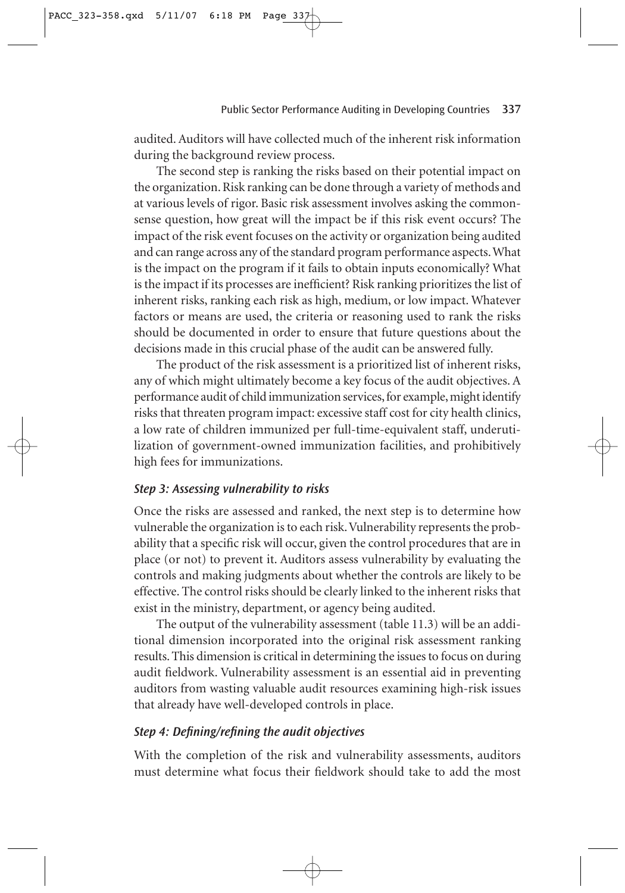audited. Auditors will have collected much of the inherent risk information during the background review process.

The second step is ranking the risks based on their potential impact on the organization. Risk ranking can be done through a variety of methods and at various levels of rigor. Basic risk assessment involves asking the commonsense question, how great will the impact be if this risk event occurs? The impact of the risk event focuses on the activity or organization being audited and can range across any of the standard program performance aspects.What is the impact on the program if it fails to obtain inputs economically? What is the impact if its processes are inefficient? Risk ranking prioritizes the list of inherent risks, ranking each risk as high, medium, or low impact. Whatever factors or means are used, the criteria or reasoning used to rank the risks should be documented in order to ensure that future questions about the decisions made in this crucial phase of the audit can be answered fully.

The product of the risk assessment is a prioritized list of inherent risks, any of which might ultimately become a key focus of the audit objectives. A performance audit of child immunization services, for example, might identify risks that threaten program impact: excessive staff cost for city health clinics, a low rate of children immunized per full-time-equivalent staff, underutilization of government-owned immunization facilities, and prohibitively high fees for immunizations.

# *Step 3: Assessing vulnerability to risks*

Once the risks are assessed and ranked, the next step is to determine how vulnerable the organization is to each risk.Vulnerability represents the probability that a specific risk will occur, given the control procedures that are in place (or not) to prevent it. Auditors assess vulnerability by evaluating the controls and making judgments about whether the controls are likely to be effective. The control risks should be clearly linked to the inherent risks that exist in the ministry, department, or agency being audited.

The output of the vulnerability assessment (table 11.3) will be an additional dimension incorporated into the original risk assessment ranking results. This dimension is critical in determining the issues to focus on during audit fieldwork. Vulnerability assessment is an essential aid in preventing auditors from wasting valuable audit resources examining high-risk issues that already have well-developed controls in place.

# *Step 4: Defining/refining the audit objectives*

With the completion of the risk and vulnerability assessments, auditors must determine what focus their fieldwork should take to add the most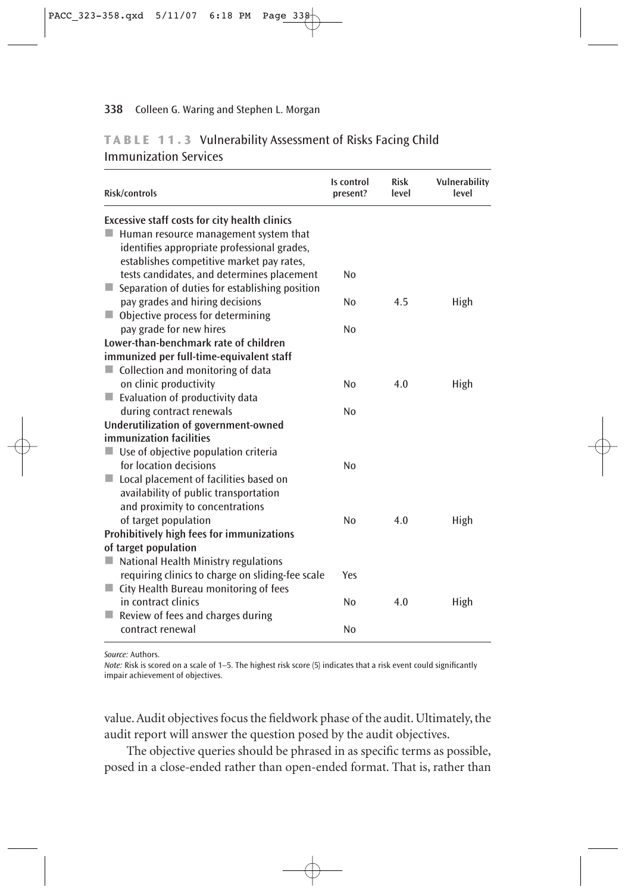# **TABLE 11.3** Vulnerability Assessment of Risks Facing Child Immunization Services

| Risk/controls                                                 | Is control<br>present? | <b>Risk</b><br>level | Vulnerability<br>level |
|---------------------------------------------------------------|------------------------|----------------------|------------------------|
| <b>Excessive staff costs for city health clinics</b>          |                        |                      |                        |
| Human resource management system that                         |                        |                      |                        |
| identifies appropriate professional grades,                   |                        |                      |                        |
| establishes competitive market pay rates,                     |                        |                      |                        |
| tests candidates, and determines placement                    | N <sub>0</sub>         |                      |                        |
| $\blacksquare$ Separation of duties for establishing position |                        |                      |                        |
| pay grades and hiring decisions                               | N <sub>0</sub>         | 4.5                  | High                   |
| $\blacksquare$ Objective process for determining              |                        |                      |                        |
| pay grade for new hires                                       | N <sub>0</sub>         |                      |                        |
| Lower-than-benchmark rate of children                         |                        |                      |                        |
| immunized per full-time-equivalent staff                      |                        |                      |                        |
| Collection and monitoring of data<br>ш                        |                        |                      |                        |
| on clinic productivity                                        | Nο                     | 4.0                  | High                   |
| $\blacksquare$ Evaluation of productivity data                |                        |                      |                        |
| during contract renewals                                      | N <sub>0</sub>         |                      |                        |
| Underutilization of government-owned                          |                        |                      |                        |
| immunization facilities                                       |                        |                      |                        |
| $\blacksquare$ Use of objective population criteria           |                        |                      |                        |
| for location decisions                                        | No                     |                      |                        |
| $\blacksquare$ Local placement of facilities based on         |                        |                      |                        |
| availability of public transportation                         |                        |                      |                        |
| and proximity to concentrations                               |                        |                      |                        |
| of target population                                          | N <sub>0</sub>         | 4.0                  | High                   |
| Prohibitively high fees for immunizations                     |                        |                      |                        |
| of target population                                          |                        |                      |                        |
| National Health Ministry regulations<br>a a                   |                        |                      |                        |
| requiring clinics to charge on sliding-fee scale              | Yes                    |                      |                        |
| ■ City Health Bureau monitoring of fees                       |                        |                      |                        |
| in contract clinics                                           | N <sub>0</sub>         | 4.0                  | High                   |
| Review of fees and charges during                             |                        |                      |                        |
| contract renewal                                              | N <sub>0</sub>         |                      |                        |

*Source:* Authors.

*Note:* Risk is scored on a scale of 1–5. The highest risk score (5) indicates that a risk event could significantly impair achievement of objectives.

value. Audit objectives focus the fieldwork phase of the audit. Ultimately, the audit report will answer the question posed by the audit objectives.

The objective queries should be phrased in as specific terms as possible, posed in a close-ended rather than open-ended format. That is, rather than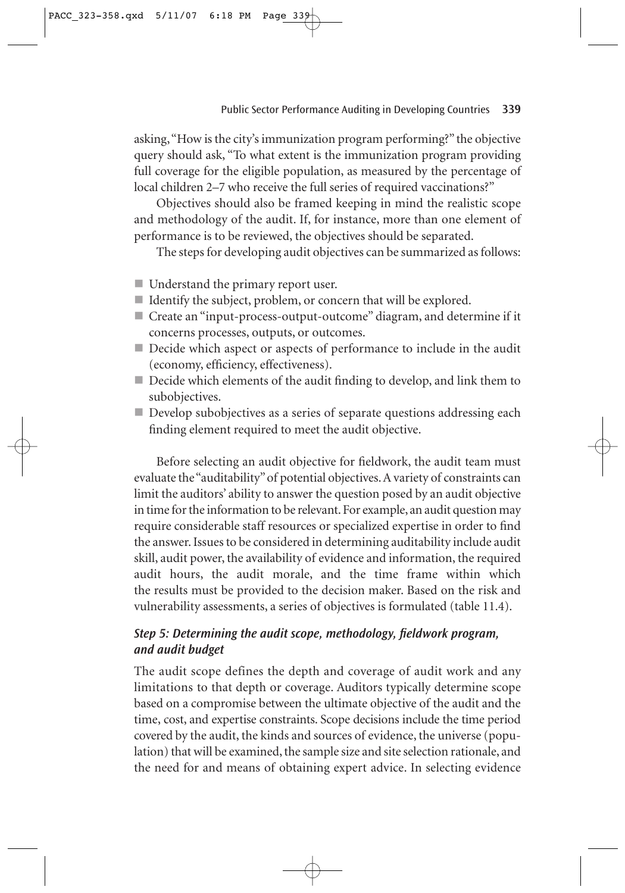asking,"How is the city's immunization program performing?" the objective query should ask, "To what extent is the immunization program providing full coverage for the eligible population, as measured by the percentage of local children 2–7 who receive the full series of required vaccinations?"

Objectives should also be framed keeping in mind the realistic scope and methodology of the audit. If, for instance, more than one element of performance is to be reviewed, the objectives should be separated.

The steps for developing audit objectives can be summarized as follows:

- **Understand the primary report user.**
- I Identify the subject, problem, or concern that will be explored.
- Create an "input-process-output-outcome" diagram, and determine if it concerns processes, outputs, or outcomes.
- Decide which aspect or aspects of performance to include in the audit (economy, efficiency, effectiveness).
- Decide which elements of the audit finding to develop, and link them to subobjectives.
- Develop subobjectives as a series of separate questions addressing each finding element required to meet the audit objective.

Before selecting an audit objective for fieldwork, the audit team must evaluate the "auditability"of potential objectives.A variety of constraints can limit the auditors' ability to answer the question posed by an audit objective in time for the information to be relevant. For example, an audit question may require considerable staff resources or specialized expertise in order to find the answer. Issues to be considered in determining auditability include audit skill, audit power, the availability of evidence and information, the required audit hours, the audit morale, and the time frame within which the results must be provided to the decision maker. Based on the risk and vulnerability assessments, a series of objectives is formulated (table 11.4).

# *Step 5: Determining the audit scope, methodology, fieldwork program, and audit budget*

The audit scope defines the depth and coverage of audit work and any limitations to that depth or coverage. Auditors typically determine scope based on a compromise between the ultimate objective of the audit and the time, cost, and expertise constraints. Scope decisions include the time period covered by the audit, the kinds and sources of evidence, the universe (population) that will be examined, the sample size and site selection rationale, and the need for and means of obtaining expert advice. In selecting evidence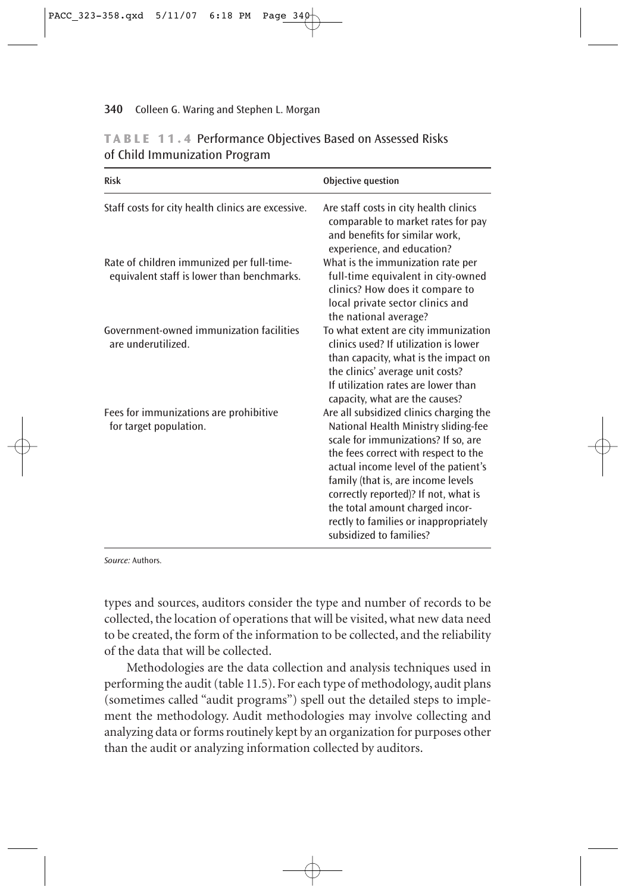|  | <b>TABLE 11.4 Performance Objectives Based on Assessed Risks</b> |  |  |
|--|------------------------------------------------------------------|--|--|
|  | of Child Immunization Program                                    |  |  |

| <b>Risk</b>                                                                             | Objective question                                                                                                                                                                                                                                                                                                                                                                          |
|-----------------------------------------------------------------------------------------|---------------------------------------------------------------------------------------------------------------------------------------------------------------------------------------------------------------------------------------------------------------------------------------------------------------------------------------------------------------------------------------------|
| Staff costs for city health clinics are excessive.                                      | Are staff costs in city health clinics<br>comparable to market rates for pay<br>and benefits for similar work,<br>experience, and education?                                                                                                                                                                                                                                                |
| Rate of children immunized per full-time-<br>equivalent staff is lower than benchmarks. | What is the immunization rate per<br>full-time equivalent in city-owned<br>clinics? How does it compare to<br>local private sector clinics and<br>the national average?                                                                                                                                                                                                                     |
| Government-owned immunization facilities<br>are underutilized.                          | To what extent are city immunization<br>clinics used? If utilization is lower<br>than capacity, what is the impact on<br>the clinics' average unit costs?<br>If utilization rates are lower than<br>capacity, what are the causes?                                                                                                                                                          |
| Fees for immunizations are prohibitive<br>for target population.                        | Are all subsidized clinics charging the<br>National Health Ministry sliding-fee<br>scale for immunizations? If so, are<br>the fees correct with respect to the<br>actual income level of the patient's<br>family (that is, are income levels<br>correctly reported)? If not, what is<br>the total amount charged incor-<br>rectly to families or inappropriately<br>subsidized to families? |

*Source:* Authors.

types and sources, auditors consider the type and number of records to be collected, the location of operations that will be visited, what new data need to be created, the form of the information to be collected, and the reliability of the data that will be collected.

Methodologies are the data collection and analysis techniques used in performing the audit (table 11.5). For each type of methodology, audit plans (sometimes called "audit programs") spell out the detailed steps to implement the methodology. Audit methodologies may involve collecting and analyzing data or forms routinely kept by an organization for purposes other than the audit or analyzing information collected by auditors.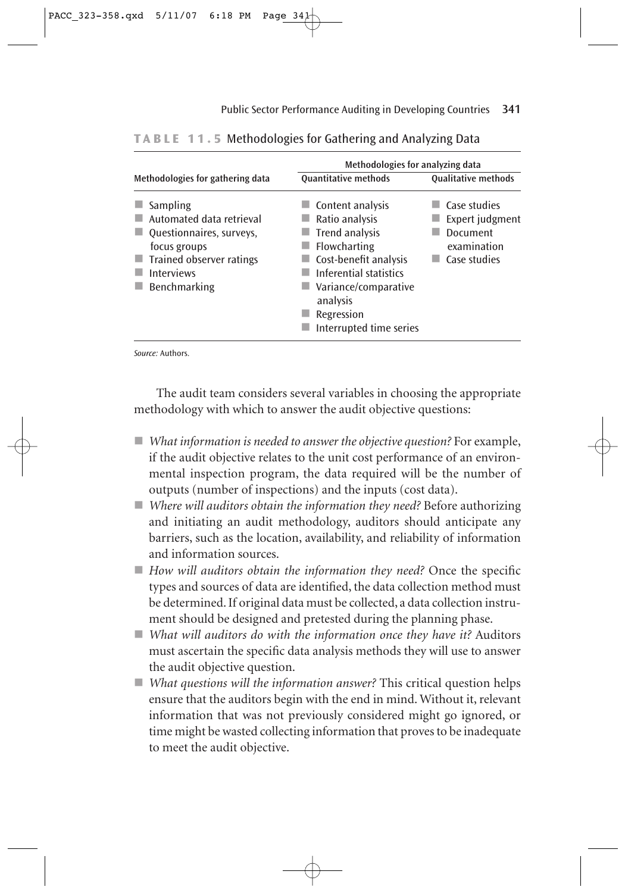|                                                                                                                                            | Methodologies for analyzing data                                                                                                                                                                            |                                                                            |  |
|--------------------------------------------------------------------------------------------------------------------------------------------|-------------------------------------------------------------------------------------------------------------------------------------------------------------------------------------------------------------|----------------------------------------------------------------------------|--|
| Methodologies for gathering data                                                                                                           | <b>Quantitative methods</b>                                                                                                                                                                                 | <b>Qualitative methods</b>                                                 |  |
| Sampling<br>Automated data retrieval<br>Questionnaires, surveys,<br>focus groups<br>Trained observer ratings<br>Interviews<br>Benchmarking | Content analysis<br>Ratio analysis<br>Trend analysis<br><b>Flowcharting</b><br>Cost-benefit analysis<br>Inferential statistics<br>Variance/comparative<br>analysis<br>Regression<br>Interrupted time series | Case studies<br>Expert judgment<br>Document<br>examination<br>Case studies |  |

#### **TABLE 11.5** Methodologies for Gathering and Analyzing Data

*Source:* Authors.

The audit team considers several variables in choosing the appropriate methodology with which to answer the audit objective questions:

- *What information is needed to answer the objective question?* For example, if the audit objective relates to the unit cost performance of an environmental inspection program, the data required will be the number of outputs (number of inspections) and the inputs (cost data).
- Where will auditors obtain the information they need? Before authorizing and initiating an audit methodology, auditors should anticipate any barriers, such as the location, availability, and reliability of information and information sources.
- How will auditors obtain the information they need? Once the specific types and sources of data are identified, the data collection method must be determined. If original data must be collected, a data collection instrument should be designed and pretested during the planning phase.
- What will auditors do with the information once they have it? Auditors must ascertain the specific data analysis methods they will use to answer the audit objective question.
- *What questions will the information answer?* This critical question helps ensure that the auditors begin with the end in mind. Without it, relevant information that was not previously considered might go ignored, or time might be wasted collecting information that proves to be inadequate to meet the audit objective.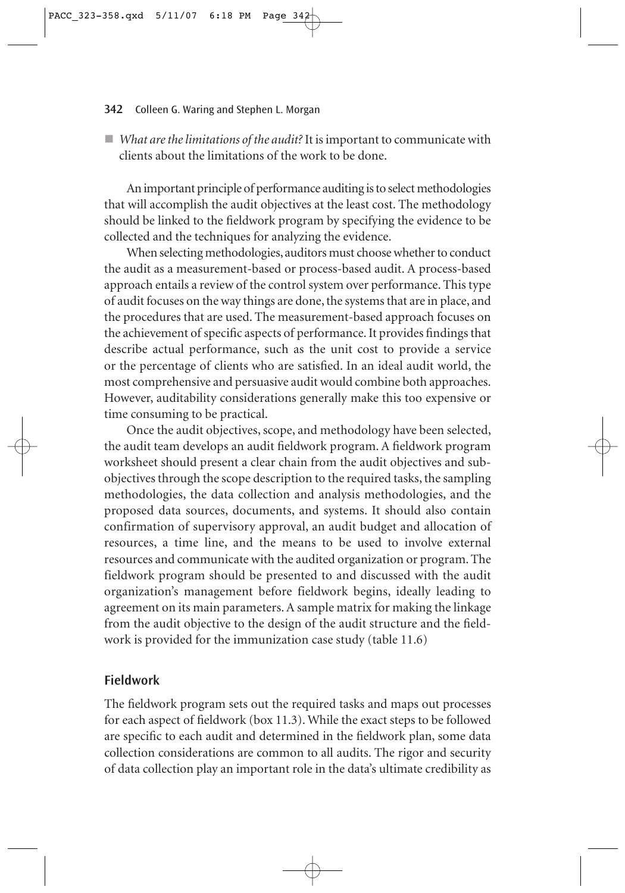■ *What are the limitations of the audit?* It is important to communicate with clients about the limitations of the work to be done.

An important principle of performance auditing is to select methodologies that will accomplish the audit objectives at the least cost. The methodology should be linked to the fieldwork program by specifying the evidence to be collected and the techniques for analyzing the evidence.

When selecting methodologies, auditors must choose whether to conduct the audit as a measurement-based or process-based audit. A process-based approach entails a review of the control system over performance. This type of audit focuses on the way things are done, the systems that are in place, and the procedures that are used. The measurement-based approach focuses on the achievement of specific aspects of performance. It provides findings that describe actual performance, such as the unit cost to provide a service or the percentage of clients who are satisfied. In an ideal audit world, the most comprehensive and persuasive audit would combine both approaches. However, auditability considerations generally make this too expensive or time consuming to be practical.

Once the audit objectives, scope, and methodology have been selected, the audit team develops an audit fieldwork program. A fieldwork program worksheet should present a clear chain from the audit objectives and subobjectives through the scope description to the required tasks, the sampling methodologies, the data collection and analysis methodologies, and the proposed data sources, documents, and systems. It should also contain confirmation of supervisory approval, an audit budget and allocation of resources, a time line, and the means to be used to involve external resources and communicate with the audited organization or program. The fieldwork program should be presented to and discussed with the audit organization's management before fieldwork begins, ideally leading to agreement on its main parameters. A sample matrix for making the linkage from the audit objective to the design of the audit structure and the fieldwork is provided for the immunization case study (table 11.6)

# **Fieldwork**

The fieldwork program sets out the required tasks and maps out processes for each aspect of fieldwork (box 11.3). While the exact steps to be followed are specific to each audit and determined in the fieldwork plan, some data collection considerations are common to all audits. The rigor and security of data collection play an important role in the data's ultimate credibility as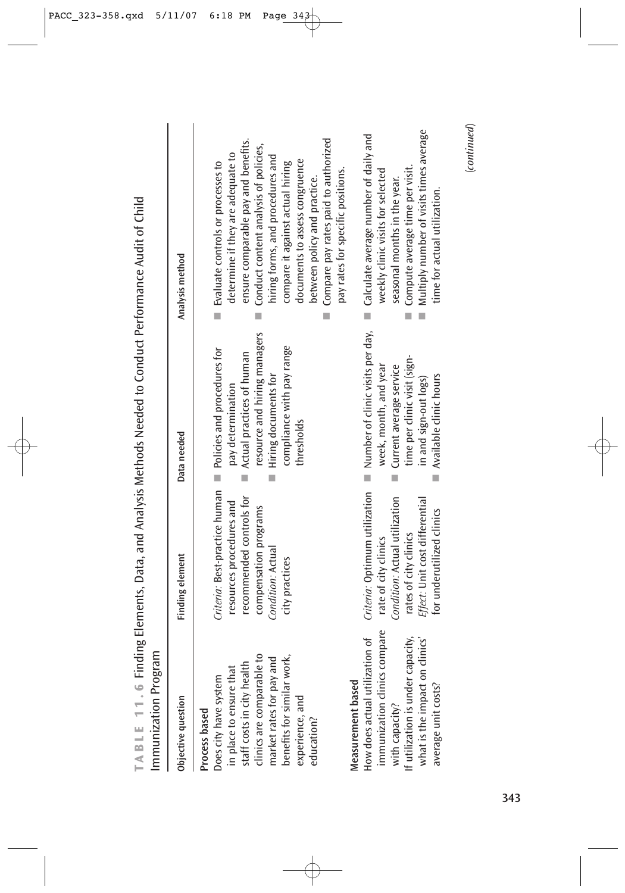| Ï                         |   |
|---------------------------|---|
| $\mathbf{I}$<br>5         |   |
| -----<br>.<br>.<br>.<br>. |   |
| ֜֜֜                       |   |
| runter and<br>ĺ           |   |
|                           |   |
| ŀ<br>$\frac{1}{2}$        | : |

| Immunization Program                                                                                                                                                                                                       |                                                                                                                                                                               |                                                                                                                                                                                                                |                                                                                                                                                                                                                                                                                                                                                                               |
|----------------------------------------------------------------------------------------------------------------------------------------------------------------------------------------------------------------------------|-------------------------------------------------------------------------------------------------------------------------------------------------------------------------------|----------------------------------------------------------------------------------------------------------------------------------------------------------------------------------------------------------------|-------------------------------------------------------------------------------------------------------------------------------------------------------------------------------------------------------------------------------------------------------------------------------------------------------------------------------------------------------------------------------|
| Objective question                                                                                                                                                                                                         | Finding element                                                                                                                                                               | Data needed                                                                                                                                                                                                    | Analysis method                                                                                                                                                                                                                                                                                                                                                               |
| clinics are comparable to<br>work,<br>market rates for pay and<br>staff costs in city health<br>in place to ensure that<br>Does city have system<br>benefits for similar<br>experience, and<br>Process based<br>education? | recommended controls for<br>resources procedures and<br>compensation programs<br>Condition: Actual<br>city practices                                                          | resource and hiring managers<br>compliance with pay range<br>Criteria: Best-practice human Policies and procedures for<br>Actual practices of human<br>Hiring documents for<br>pay determination<br>thresholds | Compare pay rates paid to authorized<br>ensure comparable pay and benefits.<br>Conduct content analysis of policies,<br>determine if they are adequate to<br>hiring forms, and procedures and<br>documents to assess congruence<br>Evaluate controls or processes to<br>compare it against actual hiring<br>pay rates for specific positions.<br>between policy and practice. |
| immunization dinics compare<br>How does actual utilization of<br>capacity,<br>what is the impact on clinics'<br>Measurement based<br>If utilization is under<br>average unit costs?<br>with capacity?                      | Criteria: Optimum utilization<br>Condition: Actual utilization<br>Effect: Unit cost differential<br>for underutilized dinics<br>rates of city clinics<br>rate of city clinics | Number of clinic visits per day,<br>time per clinic visit (sign-<br>Current average service<br>week, month, and year<br>Available clinic hours<br>in and sign-out logs)                                        | Multiply number of visits times average<br>Calculate average number of daily and<br>Compute average time per visit.<br>weekly clinic visits for selected<br>seasonal months in the year.<br>time for actual utilization.                                                                                                                                                      |
|                                                                                                                                                                                                                            |                                                                                                                                                                               |                                                                                                                                                                                                                | $_{(continued)}$                                                                                                                                                                                                                                                                                                                                                              |

 $\mathfrak{\mathfrak{p}}$ 

 $\left| \begin{array}{cccc} \texttt{PACC\_323-358.qxd} & 5/11/07 & 6:18 \texttt{PM} & \texttt{Page\_343} \end{array} \right|$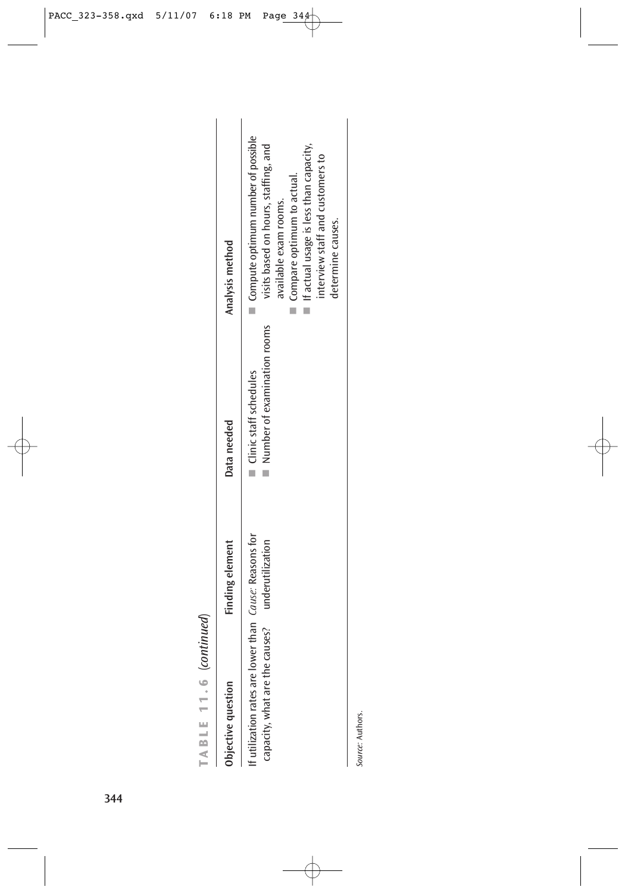| S<br>į  |
|---------|
| ها<br>٠ |
| ۲<br>ĭ  |
| ٠<br>₹  |
| J       |
| I       |
| 3       |
|         |
| t       |

| Objective question                              | Finding element                      | Data needed                 | Analysis method                        |  |
|-------------------------------------------------|--------------------------------------|-----------------------------|----------------------------------------|--|
| If utilization rates are                        | lower than <i>Cause:</i> Reasons for | Inic staff schedules        | Compute optimum number of possible     |  |
| capacity, what are the causes? underutilization |                                      | Number of examination rooms | visits based on hours, staffing, and   |  |
|                                                 |                                      |                             | available exam rooms.                  |  |
|                                                 |                                      |                             | Compare optimum to actual.             |  |
|                                                 |                                      |                             | If actual usage is less than capacity, |  |
|                                                 |                                      |                             | interview staff and customers to       |  |
|                                                 |                                      |                             | determine causes.                      |  |

Source: Authors. *Source:* Authors.

I

**344**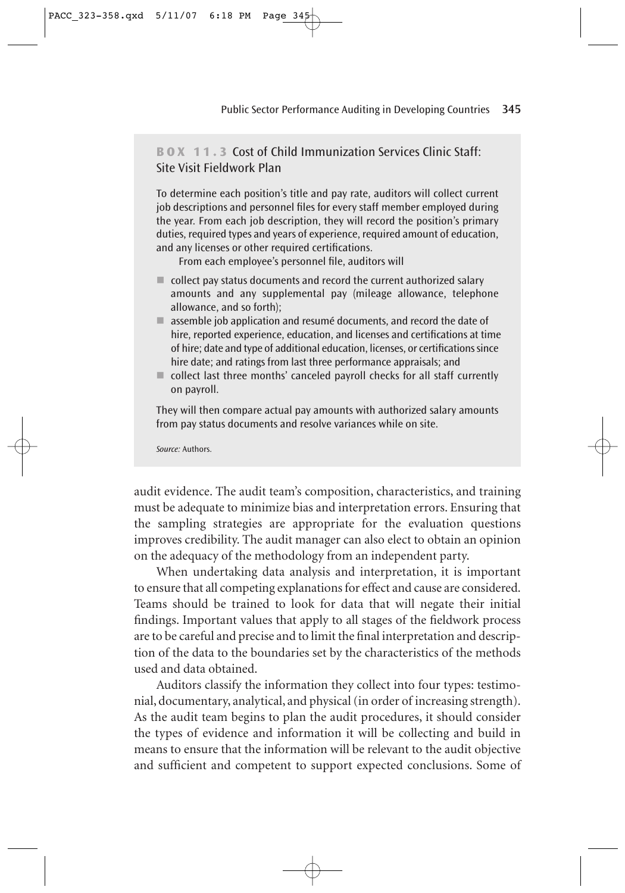**BOX 11.3** Cost of Child Immunization Services Clinic Staff: Site Visit Fieldwork Plan

To determine each position's title and pay rate, auditors will collect current job descriptions and personnel files for every staff member employed during the year. From each job description, they will record the position's primary duties, required types and years of experience, required amount of education, and any licenses or other required certifications.

From each employee's personnel file, auditors will

- $\blacksquare$  collect pay status documents and record the current authorized salary amounts and any supplemental pay (mileage allowance, telephone allowance, and so forth);
- assemble job application and resumé documents, and record the date of hire, reported experience, education, and licenses and certifications at time of hire; date and type of additional education, licenses, or certifications since hire date; and ratings from last three performance appraisals; and
- collect last three months' canceled payroll checks for all staff currently on payroll.

They will then compare actual pay amounts with authorized salary amounts from pay status documents and resolve variances while on site.

*Source:* Authors.

audit evidence. The audit team's composition, characteristics, and training must be adequate to minimize bias and interpretation errors. Ensuring that the sampling strategies are appropriate for the evaluation questions improves credibility. The audit manager can also elect to obtain an opinion on the adequacy of the methodology from an independent party.

When undertaking data analysis and interpretation, it is important to ensure that all competing explanations for effect and cause are considered. Teams should be trained to look for data that will negate their initial findings. Important values that apply to all stages of the fieldwork process are to be careful and precise and to limit the final interpretation and description of the data to the boundaries set by the characteristics of the methods used and data obtained.

Auditors classify the information they collect into four types: testimonial, documentary, analytical, and physical (in order of increasing strength). As the audit team begins to plan the audit procedures, it should consider the types of evidence and information it will be collecting and build in means to ensure that the information will be relevant to the audit objective and sufficient and competent to support expected conclusions. Some of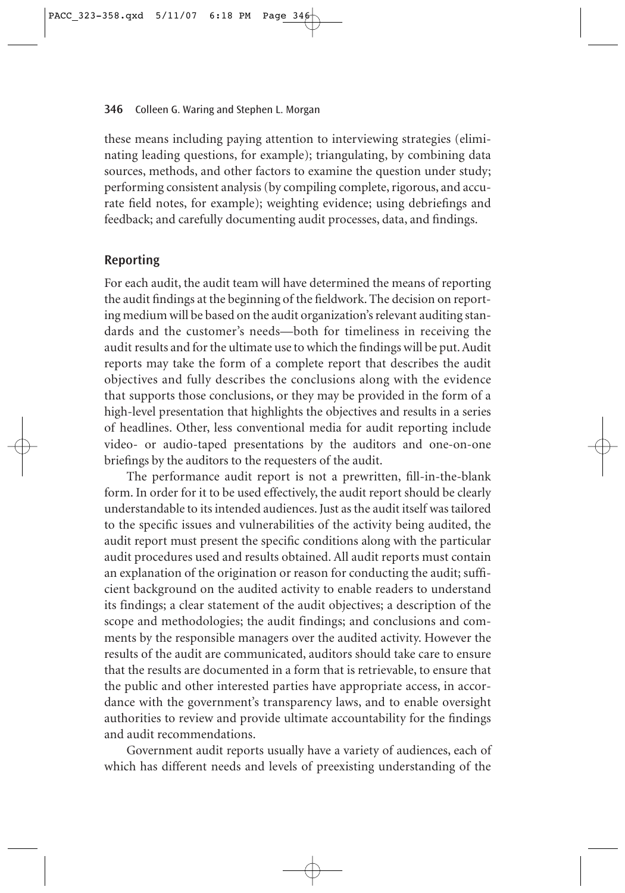these means including paying attention to interviewing strategies (eliminating leading questions, for example); triangulating, by combining data sources, methods, and other factors to examine the question under study; performing consistent analysis (by compiling complete, rigorous, and accurate field notes, for example); weighting evidence; using debriefings and feedback; and carefully documenting audit processes, data, and findings.

# **Reporting**

For each audit, the audit team will have determined the means of reporting the audit findings at the beginning of the fieldwork. The decision on reporting medium will be based on the audit organization's relevant auditing standards and the customer's needs—both for timeliness in receiving the audit results and for the ultimate use to which the findings will be put. Audit reports may take the form of a complete report that describes the audit objectives and fully describes the conclusions along with the evidence that supports those conclusions, or they may be provided in the form of a high-level presentation that highlights the objectives and results in a series of headlines. Other, less conventional media for audit reporting include video- or audio-taped presentations by the auditors and one-on-one briefings by the auditors to the requesters of the audit.

The performance audit report is not a prewritten, fill-in-the-blank form. In order for it to be used effectively, the audit report should be clearly understandable to its intended audiences. Just as the audit itself was tailored to the specific issues and vulnerabilities of the activity being audited, the audit report must present the specific conditions along with the particular audit procedures used and results obtained. All audit reports must contain an explanation of the origination or reason for conducting the audit; sufficient background on the audited activity to enable readers to understand its findings; a clear statement of the audit objectives; a description of the scope and methodologies; the audit findings; and conclusions and comments by the responsible managers over the audited activity. However the results of the audit are communicated, auditors should take care to ensure that the results are documented in a form that is retrievable, to ensure that the public and other interested parties have appropriate access, in accordance with the government's transparency laws, and to enable oversight authorities to review and provide ultimate accountability for the findings and audit recommendations.

Government audit reports usually have a variety of audiences, each of which has different needs and levels of preexisting understanding of the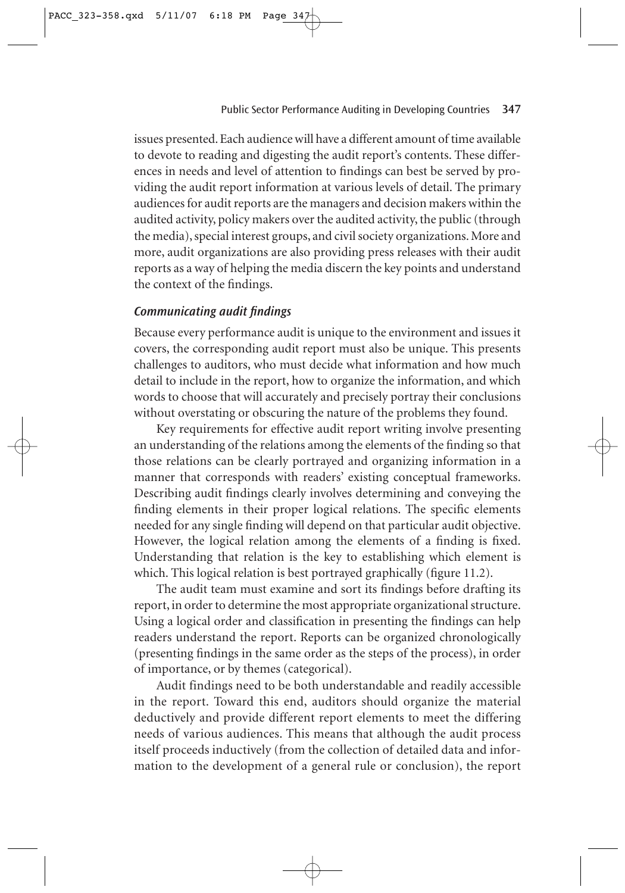issues presented. Each audience will have a different amount of time available to devote to reading and digesting the audit report's contents. These differences in needs and level of attention to findings can best be served by providing the audit report information at various levels of detail. The primary audiences for audit reports are the managers and decision makers within the audited activity, policy makers over the audited activity, the public (through the media), special interest groups, and civil society organizations. More and more, audit organizations are also providing press releases with their audit reports as a way of helping the media discern the key points and understand the context of the findings.

# *Communicating audit findings*

Because every performance audit is unique to the environment and issues it covers, the corresponding audit report must also be unique. This presents challenges to auditors, who must decide what information and how much detail to include in the report, how to organize the information, and which words to choose that will accurately and precisely portray their conclusions without overstating or obscuring the nature of the problems they found.

Key requirements for effective audit report writing involve presenting an understanding of the relations among the elements of the finding so that those relations can be clearly portrayed and organizing information in a manner that corresponds with readers' existing conceptual frameworks. Describing audit findings clearly involves determining and conveying the finding elements in their proper logical relations. The specific elements needed for any single finding will depend on that particular audit objective. However, the logical relation among the elements of a finding is fixed. Understanding that relation is the key to establishing which element is which. This logical relation is best portrayed graphically (figure 11.2).

The audit team must examine and sort its findings before drafting its report, in order to determine the most appropriate organizational structure. Using a logical order and classification in presenting the findings can help readers understand the report. Reports can be organized chronologically (presenting findings in the same order as the steps of the process), in order of importance, or by themes (categorical).

Audit findings need to be both understandable and readily accessible in the report. Toward this end, auditors should organize the material deductively and provide different report elements to meet the differing needs of various audiences. This means that although the audit process itself proceeds inductively (from the collection of detailed data and information to the development of a general rule or conclusion), the report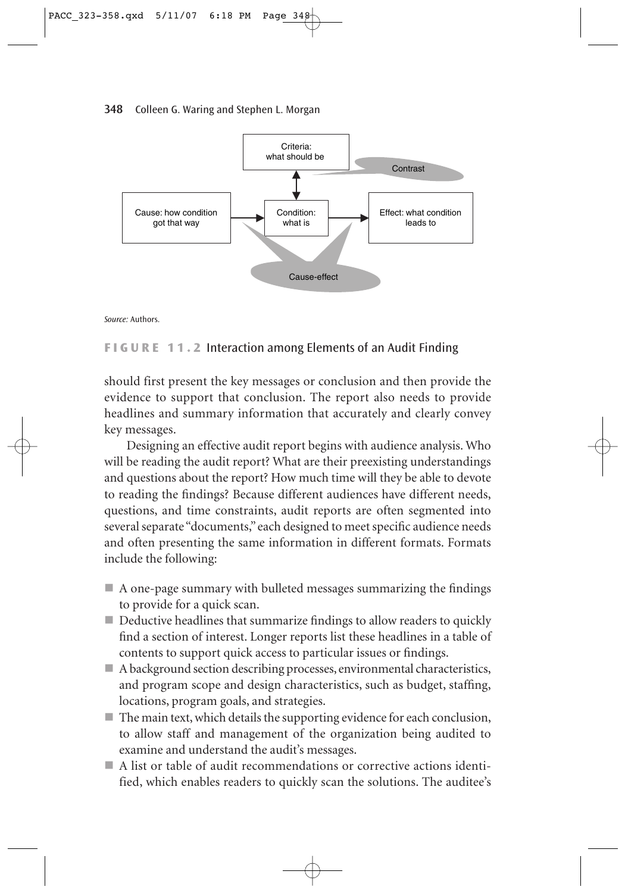

*Source:* Authors.

# **FIGURE 11.2** Interaction among Elements of an Audit Finding

should first present the key messages or conclusion and then provide the evidence to support that conclusion. The report also needs to provide headlines and summary information that accurately and clearly convey key messages.

Designing an effective audit report begins with audience analysis. Who will be reading the audit report? What are their preexisting understandings and questions about the report? How much time will they be able to devote to reading the findings? Because different audiences have different needs, questions, and time constraints, audit reports are often segmented into several separate "documents,"each designed to meet specific audience needs and often presenting the same information in different formats. Formats include the following:

- A one-page summary with bulleted messages summarizing the findings to provide for a quick scan.
- Deductive headlines that summarize findings to allow readers to quickly find a section of interest. Longer reports list these headlines in a table of contents to support quick access to particular issues or findings.
- $\blacksquare$  A background section describing processes, environmental characteristics, and program scope and design characteristics, such as budget, staffing, locations, program goals, and strategies.
- $\blacksquare$  The main text, which details the supporting evidence for each conclusion, to allow staff and management of the organization being audited to examine and understand the audit's messages.
- A list or table of audit recommendations or corrective actions identified, which enables readers to quickly scan the solutions. The auditee's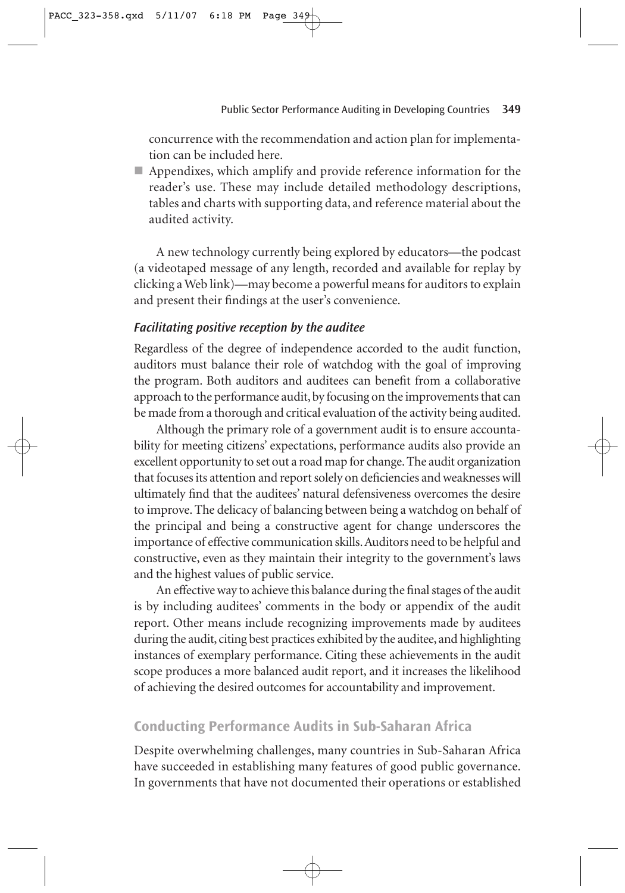concurrence with the recommendation and action plan for implementation can be included here.

■ Appendixes, which amplify and provide reference information for the reader's use. These may include detailed methodology descriptions, tables and charts with supporting data, and reference material about the audited activity.

A new technology currently being explored by educators—the podcast (a videotaped message of any length, recorded and available for replay by clicking a Web link)—may become a powerful means for auditors to explain and present their findings at the user's convenience.

# *Facilitating positive reception by the auditee*

Regardless of the degree of independence accorded to the audit function, auditors must balance their role of watchdog with the goal of improving the program. Both auditors and auditees can benefit from a collaborative approach to the performance audit, by focusing on the improvements that can be made from a thorough and critical evaluation of the activity being audited.

Although the primary role of a government audit is to ensure accountability for meeting citizens' expectations, performance audits also provide an excellent opportunity to set out a road map for change. The audit organization that focuses its attention and report solely on deficiencies and weaknesses will ultimately find that the auditees' natural defensiveness overcomes the desire to improve. The delicacy of balancing between being a watchdog on behalf of the principal and being a constructive agent for change underscores the importance of effective communication skills.Auditors need to be helpful and constructive, even as they maintain their integrity to the government's laws and the highest values of public service.

An effective way to achieve this balance during the final stages of the audit is by including auditees' comments in the body or appendix of the audit report. Other means include recognizing improvements made by auditees during the audit, citing best practices exhibited by the auditee, and highlighting instances of exemplary performance. Citing these achievements in the audit scope produces a more balanced audit report, and it increases the likelihood of achieving the desired outcomes for accountability and improvement.

# **Conducting Performance Audits in Sub-Saharan Africa**

Despite overwhelming challenges, many countries in Sub-Saharan Africa have succeeded in establishing many features of good public governance. In governments that have not documented their operations or established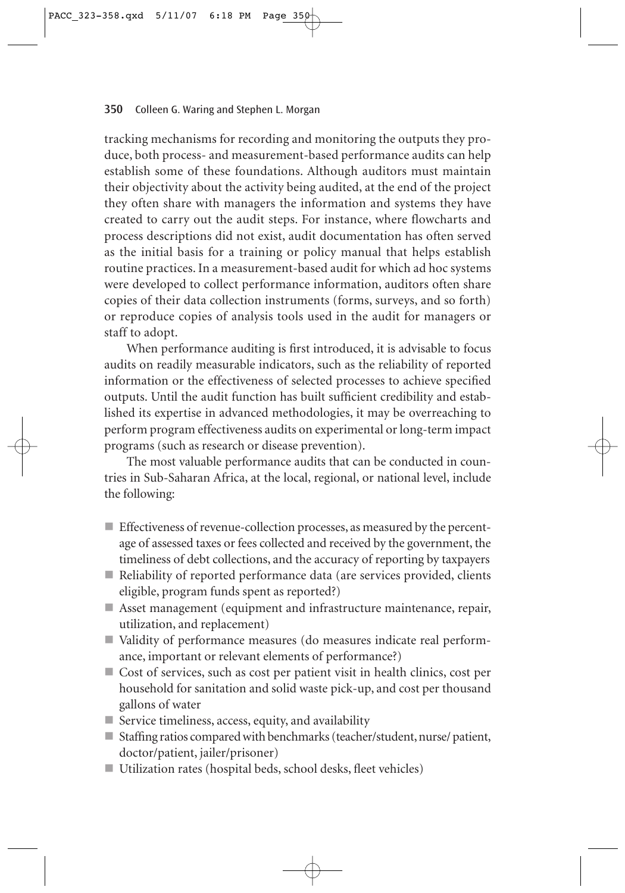tracking mechanisms for recording and monitoring the outputs they produce, both process- and measurement-based performance audits can help establish some of these foundations. Although auditors must maintain their objectivity about the activity being audited, at the end of the project they often share with managers the information and systems they have created to carry out the audit steps. For instance, where flowcharts and process descriptions did not exist, audit documentation has often served as the initial basis for a training or policy manual that helps establish routine practices. In a measurement-based audit for which ad hoc systems were developed to collect performance information, auditors often share copies of their data collection instruments (forms, surveys, and so forth) or reproduce copies of analysis tools used in the audit for managers or staff to adopt.

When performance auditing is first introduced, it is advisable to focus audits on readily measurable indicators, such as the reliability of reported information or the effectiveness of selected processes to achieve specified outputs. Until the audit function has built sufficient credibility and established its expertise in advanced methodologies, it may be overreaching to perform program effectiveness audits on experimental or long-term impact programs (such as research or disease prevention).

The most valuable performance audits that can be conducted in countries in Sub-Saharan Africa, at the local, regional, or national level, include the following:

- Effectiveness of revenue-collection processes, as measured by the percentage of assessed taxes or fees collected and received by the government, the timeliness of debt collections, and the accuracy of reporting by taxpayers
- Reliability of reported performance data (are services provided, clients eligible, program funds spent as reported?)
- Asset management (equipment and infrastructure maintenance, repair, utilization, and replacement)
- I Validity of performance measures (do measures indicate real performance, important or relevant elements of performance?)
- Cost of services, such as cost per patient visit in health clinics, cost per household for sanitation and solid waste pick-up, and cost per thousand gallons of water
- **E** Service timeliness, access, equity, and availability
- Staffing ratios compared with benchmarks (teacher/student, nurse/ patient, doctor/patient, jailer/prisoner)
- Utilization rates (hospital beds, school desks, fleet vehicles)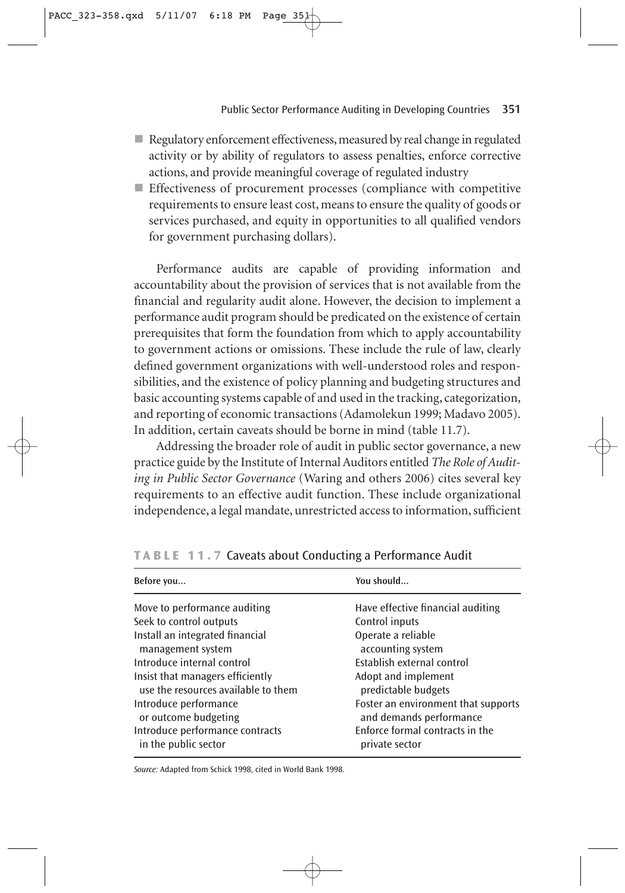- Regulatory enforcement effectiveness, measured by real change in regulated activity or by ability of regulators to assess penalties, enforce corrective actions, and provide meaningful coverage of regulated industry
- Effectiveness of procurement processes (compliance with competitive requirements to ensure least cost, means to ensure the quality of goods or services purchased, and equity in opportunities to all qualified vendors for government purchasing dollars).

Performance audits are capable of providing information and accountability about the provision of services that is not available from the financial and regularity audit alone. However, the decision to implement a performance audit program should be predicated on the existence of certain prerequisites that form the foundation from which to apply accountability to government actions or omissions. These include the rule of law, clearly defined government organizations with well-understood roles and responsibilities, and the existence of policy planning and budgeting structures and basic accounting systems capable of and used in the tracking, categorization, and reporting of economic transactions (Adamolekun 1999; Madavo 2005). In addition, certain caveats should be borne in mind (table 11.7).

Addressing the broader role of audit in public sector governance, a new practice guide by the Institute of Internal Auditors entitled *The Role of Auditing in Public Sector Governance* (Waring and others 2006) cites several key requirements to an effective audit function. These include organizational independence, a legal mandate, unrestricted access to information, sufficient

| Before you                                                              | You should                                                     |
|-------------------------------------------------------------------------|----------------------------------------------------------------|
| Move to performance auditing                                            | Have effective financial auditing                              |
| Seek to control outputs                                                 | Control inputs                                                 |
| Install an integrated financial                                         | Operate a reliable                                             |
| management system                                                       | accounting system                                              |
| Introduce internal control                                              | Establish external control                                     |
| Insist that managers efficiently<br>use the resources available to them | Adopt and implement<br>predictable budgets                     |
| Introduce performance<br>or outcome budgeting                           | Foster an environment that supports<br>and demands performance |
| Introduce performance contracts<br>in the public sector                 | Enforce formal contracts in the<br>private sector              |

**TABLE 11.7** Caveats about Conducting a Performance Audit

*Source:* Adapted from Schick 1998, cited in World Bank 1998.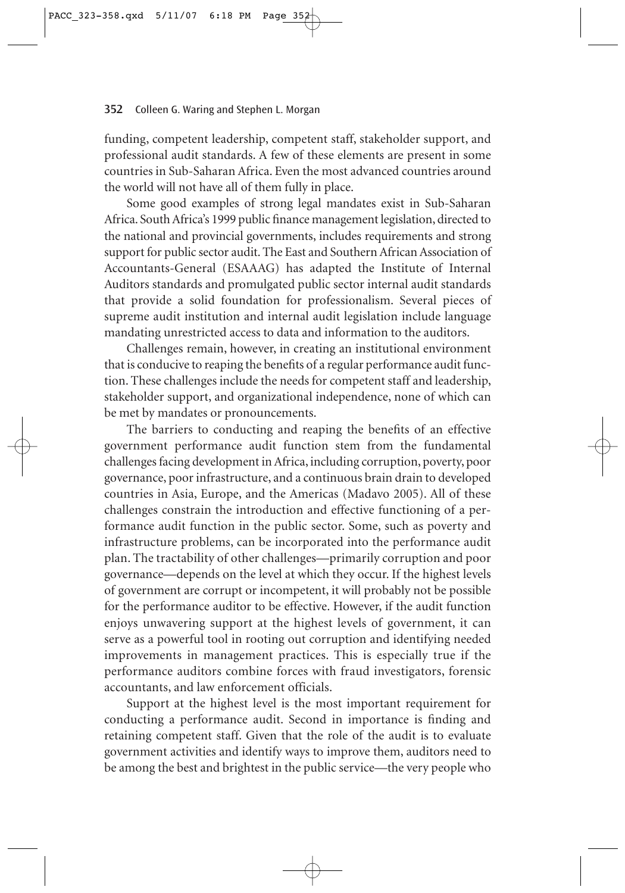funding, competent leadership, competent staff, stakeholder support, and professional audit standards. A few of these elements are present in some countries in Sub-Saharan Africa. Even the most advanced countries around the world will not have all of them fully in place.

Some good examples of strong legal mandates exist in Sub-Saharan Africa. South Africa's 1999 public finance management legislation, directed to the national and provincial governments, includes requirements and strong support for public sector audit. The East and Southern African Association of Accountants-General (ESAAAG) has adapted the Institute of Internal Auditors standards and promulgated public sector internal audit standards that provide a solid foundation for professionalism. Several pieces of supreme audit institution and internal audit legislation include language mandating unrestricted access to data and information to the auditors.

Challenges remain, however, in creating an institutional environment that is conducive to reaping the benefits of a regular performance audit function. These challenges include the needs for competent staff and leadership, stakeholder support, and organizational independence, none of which can be met by mandates or pronouncements.

The barriers to conducting and reaping the benefits of an effective government performance audit function stem from the fundamental challenges facing development in Africa, including corruption, poverty, poor governance, poor infrastructure, and a continuous brain drain to developed countries in Asia, Europe, and the Americas (Madavo 2005). All of these challenges constrain the introduction and effective functioning of a performance audit function in the public sector. Some, such as poverty and infrastructure problems, can be incorporated into the performance audit plan. The tractability of other challenges—primarily corruption and poor governance—depends on the level at which they occur. If the highest levels of government are corrupt or incompetent, it will probably not be possible for the performance auditor to be effective. However, if the audit function enjoys unwavering support at the highest levels of government, it can serve as a powerful tool in rooting out corruption and identifying needed improvements in management practices. This is especially true if the performance auditors combine forces with fraud investigators, forensic accountants, and law enforcement officials.

Support at the highest level is the most important requirement for conducting a performance audit. Second in importance is finding and retaining competent staff. Given that the role of the audit is to evaluate government activities and identify ways to improve them, auditors need to be among the best and brightest in the public service—the very people who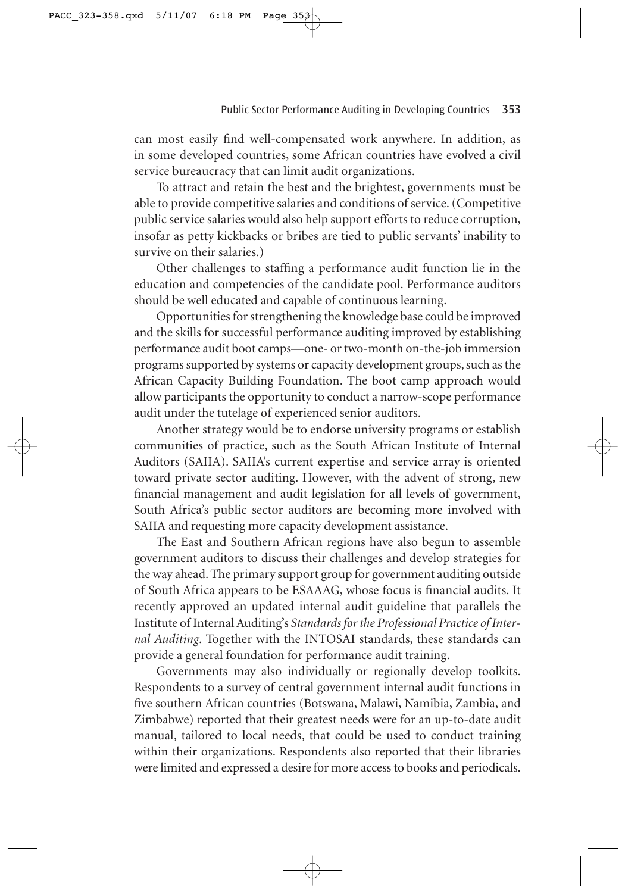can most easily find well-compensated work anywhere. In addition, as in some developed countries, some African countries have evolved a civil service bureaucracy that can limit audit organizations.

To attract and retain the best and the brightest, governments must be able to provide competitive salaries and conditions of service. (Competitive public service salaries would also help support efforts to reduce corruption, insofar as petty kickbacks or bribes are tied to public servants' inability to survive on their salaries.)

Other challenges to staffing a performance audit function lie in the education and competencies of the candidate pool. Performance auditors should be well educated and capable of continuous learning.

Opportunities for strengthening the knowledge base could be improved and the skills for successful performance auditing improved by establishing performance audit boot camps—one- or two-month on-the-job immersion programs supported by systems or capacity development groups, such as the African Capacity Building Foundation. The boot camp approach would allow participants the opportunity to conduct a narrow-scope performance audit under the tutelage of experienced senior auditors.

Another strategy would be to endorse university programs or establish communities of practice, such as the South African Institute of Internal Auditors (SAIIA). SAIIA's current expertise and service array is oriented toward private sector auditing. However, with the advent of strong, new financial management and audit legislation for all levels of government, South Africa's public sector auditors are becoming more involved with SAIIA and requesting more capacity development assistance.

The East and Southern African regions have also begun to assemble government auditors to discuss their challenges and develop strategies for the way ahead. The primary support group for government auditing outside of South Africa appears to be ESAAAG, whose focus is financial audits. It recently approved an updated internal audit guideline that parallels the Institute of Internal Auditing's *Standards for the Professional Practice of Internal Auditing*. Together with the INTOSAI standards, these standards can provide a general foundation for performance audit training.

Governments may also individually or regionally develop toolkits. Respondents to a survey of central government internal audit functions in five southern African countries (Botswana, Malawi, Namibia, Zambia, and Zimbabwe) reported that their greatest needs were for an up-to-date audit manual, tailored to local needs, that could be used to conduct training within their organizations. Respondents also reported that their libraries were limited and expressed a desire for more access to books and periodicals.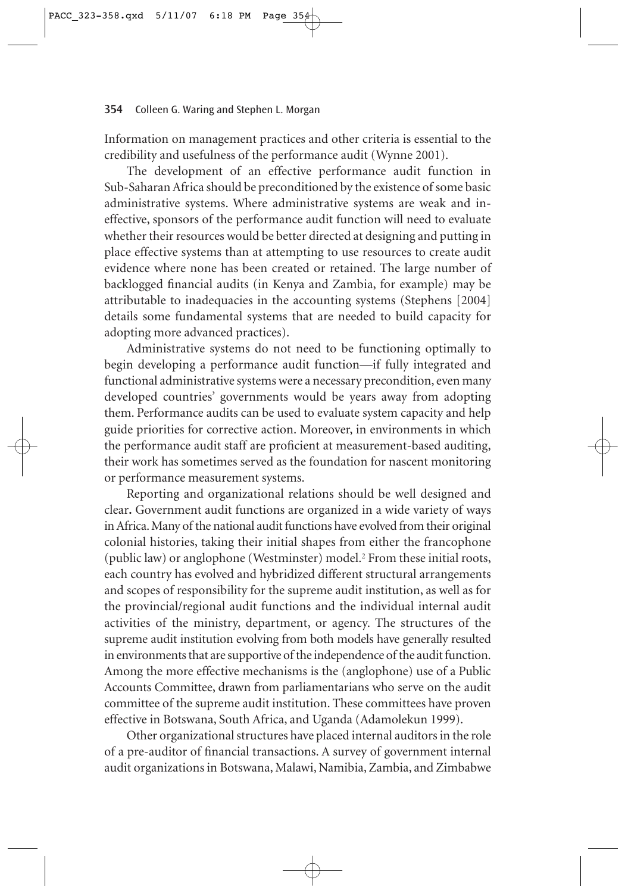Information on management practices and other criteria is essential to the credibility and usefulness of the performance audit (Wynne 2001).

The development of an effective performance audit function in Sub-Saharan Africa should be preconditioned by the existence of some basic administrative systems. Where administrative systems are weak and ineffective, sponsors of the performance audit function will need to evaluate whether their resources would be better directed at designing and putting in place effective systems than at attempting to use resources to create audit evidence where none has been created or retained. The large number of backlogged financial audits (in Kenya and Zambia, for example) may be attributable to inadequacies in the accounting systems (Stephens [2004] details some fundamental systems that are needed to build capacity for adopting more advanced practices).

Administrative systems do not need to be functioning optimally to begin developing a performance audit function—if fully integrated and functional administrative systems were a necessary precondition, even many developed countries' governments would be years away from adopting them. Performance audits can be used to evaluate system capacity and help guide priorities for corrective action. Moreover, in environments in which the performance audit staff are proficient at measurement-based auditing, their work has sometimes served as the foundation for nascent monitoring or performance measurement systems.

Reporting and organizational relations should be well designed and clear**.** Government audit functions are organized in a wide variety of ways in Africa. Many of the national audit functions have evolved from their original colonial histories, taking their initial shapes from either the francophone (public law) or anglophone (Westminster) model.2 From these initial roots, each country has evolved and hybridized different structural arrangements and scopes of responsibility for the supreme audit institution, as well as for the provincial/regional audit functions and the individual internal audit activities of the ministry, department, or agency. The structures of the supreme audit institution evolving from both models have generally resulted in environments that are supportive of the independence of the audit function. Among the more effective mechanisms is the (anglophone) use of a Public Accounts Committee, drawn from parliamentarians who serve on the audit committee of the supreme audit institution. These committees have proven effective in Botswana, South Africa, and Uganda (Adamolekun 1999).

Other organizational structures have placed internal auditors in the role of a pre-auditor of financial transactions. A survey of government internal audit organizations in Botswana, Malawi, Namibia, Zambia, and Zimbabwe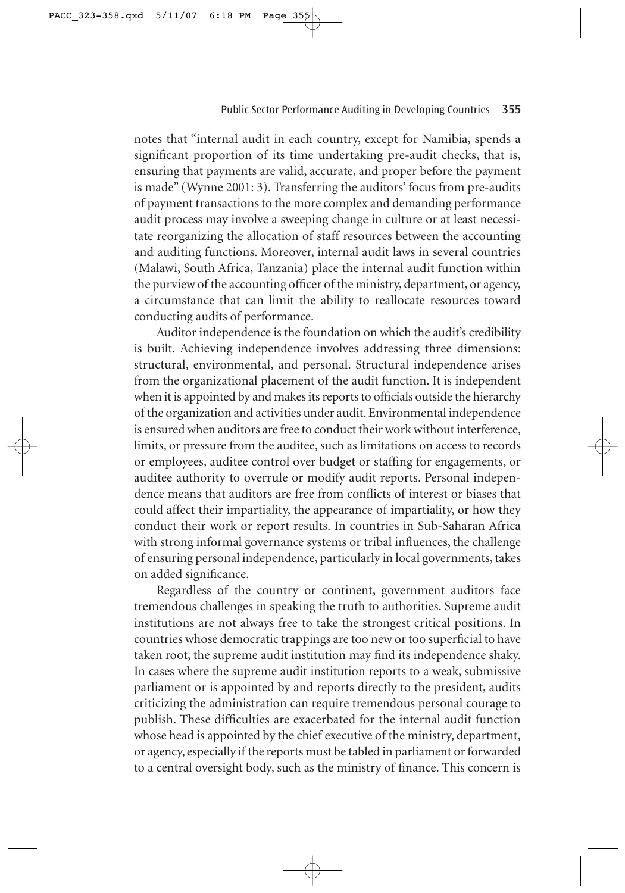notes that "internal audit in each country, except for Namibia, spends a significant proportion of its time undertaking pre-audit checks, that is, ensuring that payments are valid, accurate, and proper before the payment is made" (Wynne 2001: 3). Transferring the auditors' focus from pre-audits of payment transactions to the more complex and demanding performance audit process may involve a sweeping change in culture or at least necessitate reorganizing the allocation of staff resources between the accounting and auditing functions. Moreover, internal audit laws in several countries (Malawi, South Africa, Tanzania) place the internal audit function within the purview of the accounting officer of the ministry, department, or agency, a circumstance that can limit the ability to reallocate resources toward conducting audits of performance.

Auditor independence is the foundation on which the audit's credibility is built. Achieving independence involves addressing three dimensions: structural, environmental, and personal. Structural independence arises from the organizational placement of the audit function. It is independent when it is appointed by and makes its reports to officials outside the hierarchy of the organization and activities under audit. Environmental independence is ensured when auditors are free to conduct their work without interference, limits, or pressure from the auditee, such as limitations on access to records or employees, auditee control over budget or staffing for engagements, or auditee authority to overrule or modify audit reports. Personal independence means that auditors are free from conflicts of interest or biases that could affect their impartiality, the appearance of impartiality, or how they conduct their work or report results. In countries in Sub-Saharan Africa with strong informal governance systems or tribal influences, the challenge of ensuring personal independence, particularly in local governments, takes on added significance.

Regardless of the country or continent, government auditors face tremendous challenges in speaking the truth to authorities. Supreme audit institutions are not always free to take the strongest critical positions. In countries whose democratic trappings are too new or too superficial to have taken root, the supreme audit institution may find its independence shaky. In cases where the supreme audit institution reports to a weak, submissive parliament or is appointed by and reports directly to the president, audits criticizing the administration can require tremendous personal courage to publish. These difficulties are exacerbated for the internal audit function whose head is appointed by the chief executive of the ministry, department, or agency, especially if the reports must be tabled in parliament or forwarded to a central oversight body, such as the ministry of finance. This concern is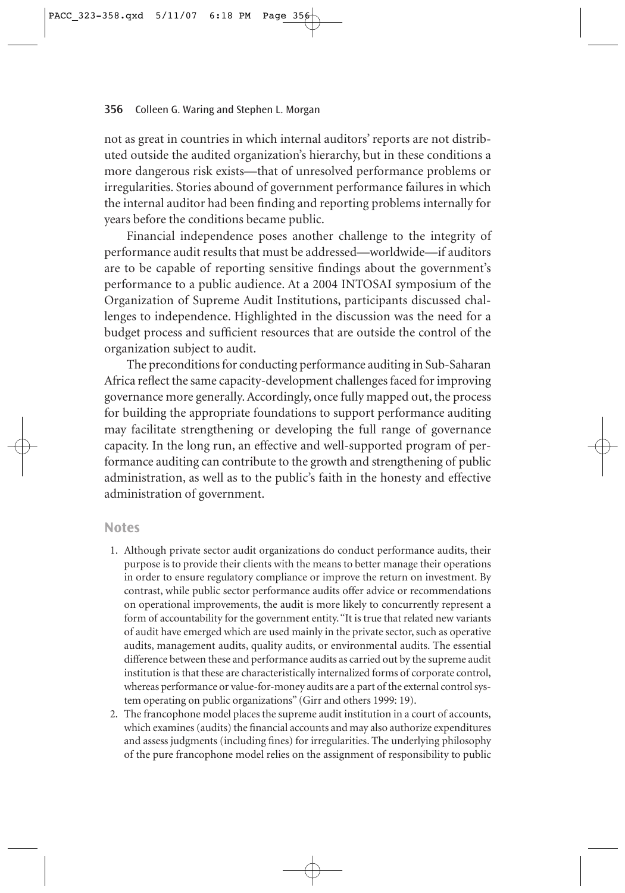not as great in countries in which internal auditors' reports are not distributed outside the audited organization's hierarchy, but in these conditions a more dangerous risk exists—that of unresolved performance problems or irregularities. Stories abound of government performance failures in which the internal auditor had been finding and reporting problems internally for years before the conditions became public.

Financial independence poses another challenge to the integrity of performance audit results that must be addressed—worldwide—if auditors are to be capable of reporting sensitive findings about the government's performance to a public audience. At a 2004 INTOSAI symposium of the Organization of Supreme Audit Institutions, participants discussed challenges to independence. Highlighted in the discussion was the need for a budget process and sufficient resources that are outside the control of the organization subject to audit.

The preconditions for conducting performance auditing in Sub-Saharan Africa reflect the same capacity-development challenges faced for improving governance more generally. Accordingly, once fully mapped out, the process for building the appropriate foundations to support performance auditing may facilitate strengthening or developing the full range of governance capacity. In the long run, an effective and well-supported program of performance auditing can contribute to the growth and strengthening of public administration, as well as to the public's faith in the honesty and effective administration of government.

#### **Notes**

- 1. Although private sector audit organizations do conduct performance audits, their purpose is to provide their clients with the means to better manage their operations in order to ensure regulatory compliance or improve the return on investment. By contrast, while public sector performance audits offer advice or recommendations on operational improvements, the audit is more likely to concurrently represent a form of accountability for the government entity."It is true that related new variants of audit have emerged which are used mainly in the private sector, such as operative audits, management audits, quality audits, or environmental audits. The essential difference between these and performance audits as carried out by the supreme audit institution is that these are characteristically internalized forms of corporate control, whereas performance or value-for-money audits are a part of the external control system operating on public organizations" (Girr and others 1999: 19).
- 2. The francophone model places the supreme audit institution in a court of accounts, which examines (audits) the financial accounts and may also authorize expenditures and assess judgments (including fines) for irregularities. The underlying philosophy of the pure francophone model relies on the assignment of responsibility to public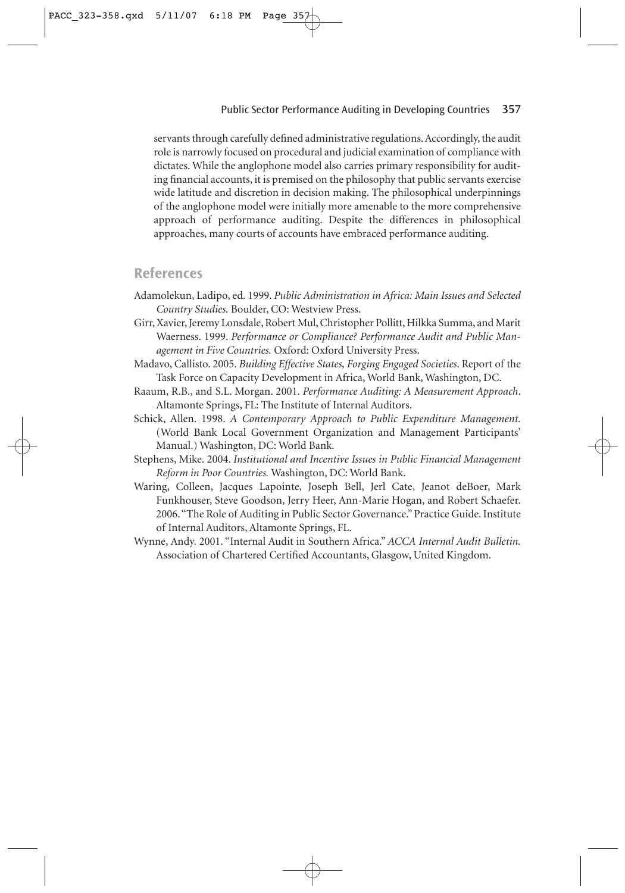servants through carefully defined administrative regulations. Accordingly, the audit role is narrowly focused on procedural and judicial examination of compliance with dictates. While the anglophone model also carries primary responsibility for auditing financial accounts, it is premised on the philosophy that public servants exercise wide latitude and discretion in decision making. The philosophical underpinnings of the anglophone model were initially more amenable to the more comprehensive approach of performance auditing. Despite the differences in philosophical approaches, many courts of accounts have embraced performance auditing.

# **References**

- Adamolekun, Ladipo, ed. 1999. *Public Administration in Africa: Main Issues and Selected Country Studies.* Boulder, CO: Westview Press.
- Girr, Xavier, Jeremy Lonsdale, Robert Mul, Christopher Pollitt, Hilkka Summa, and Marit Waerness. 1999. *Performance or Compliance? Performance Audit and Public Management in Five Countries.* Oxford: Oxford University Press.
- Madavo, Callisto. 2005. *Building Effective States, Forging Engaged Societies*. Report of the Task Force on Capacity Development in Africa, World Bank, Washington, DC.
- Raaum, R.B., and S.L. Morgan. 2001. *Performance Auditing: A Measurement Approach*. Altamonte Springs, FL: The Institute of Internal Auditors.
- Schick, Allen. 1998. *A Contemporary Approach to Public Expenditure Management.* (World Bank Local Government Organization and Management Participants' Manual.) Washington, DC: World Bank.
- Stephens, Mike. 2004. *Institutional and Incentive Issues in Public Financial Management Reform in Poor Countries.* Washington, DC: World Bank.
- Waring, Colleen, Jacques Lapointe, Joseph Bell, Jerl Cate, Jeanot deBoer, Mark Funkhouser, Steve Goodson, Jerry Heer, Ann-Marie Hogan, and Robert Schaefer. 2006."The Role of Auditing in Public Sector Governance." Practice Guide. Institute of Internal Auditors, Altamonte Springs, FL.
- Wynne, Andy. 2001. "Internal Audit in Southern Africa." *ACCA Internal Audit Bulletin.* Association of Chartered Certified Accountants, Glasgow, United Kingdom.